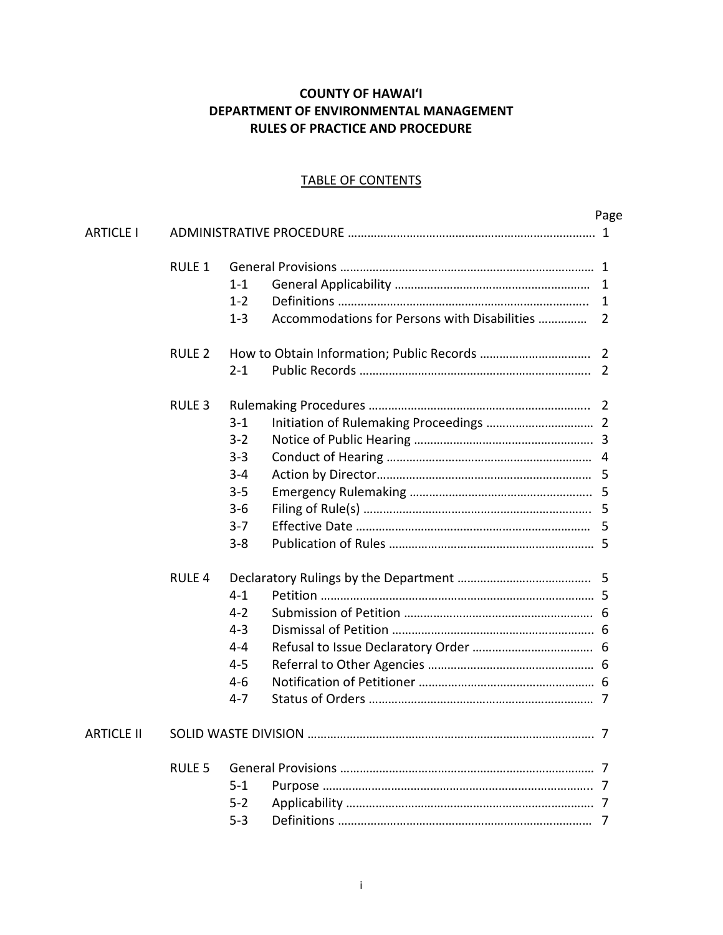# **COUNTY OF HAWAIʻI DEPARTMENT OF ENVIRONMENTAL MANAGEMENT RULES OF PRACTICE AND PROCEDURE**

### TABLE OF CONTENTS

|                   |                   |         |                                              | Page           |
|-------------------|-------------------|---------|----------------------------------------------|----------------|
| <b>ARTICLE I</b>  |                   |         |                                              |                |
|                   | <b>RULE 1</b>     |         |                                              |                |
|                   |                   | $1 - 1$ |                                              | 1              |
|                   |                   | $1 - 2$ |                                              | 1              |
|                   |                   | $1 - 3$ | Accommodations for Persons with Disabilities | $\overline{2}$ |
|                   | <b>RULE 2</b>     |         |                                              |                |
|                   |                   | $2 - 1$ |                                              | $\overline{2}$ |
|                   | <b>RULE 3</b>     |         |                                              |                |
|                   |                   | $3 - 1$ |                                              |                |
|                   |                   | $3 - 2$ |                                              |                |
|                   |                   | $3 - 3$ |                                              |                |
|                   |                   | $3 - 4$ |                                              |                |
|                   |                   | $3 - 5$ |                                              |                |
|                   |                   | $3 - 6$ |                                              |                |
|                   |                   | $3 - 7$ |                                              |                |
|                   |                   | $3 - 8$ |                                              |                |
|                   | RULE <sub>4</sub> |         |                                              |                |
|                   |                   | $4 - 1$ |                                              |                |
|                   |                   | $4-2$   |                                              |                |
|                   |                   | $4 - 3$ |                                              |                |
|                   |                   | $4 - 4$ |                                              |                |
|                   |                   | $4 - 5$ |                                              |                |
|                   |                   | $4 - 6$ |                                              |                |
|                   |                   | $4 - 7$ |                                              |                |
| <b>ARTICLE II</b> |                   |         |                                              |                |
|                   | <b>RULE 5</b>     |         |                                              |                |
|                   |                   | $5 - 1$ |                                              |                |
|                   |                   | $5 - 2$ |                                              |                |
|                   |                   | $5 - 3$ |                                              | 7              |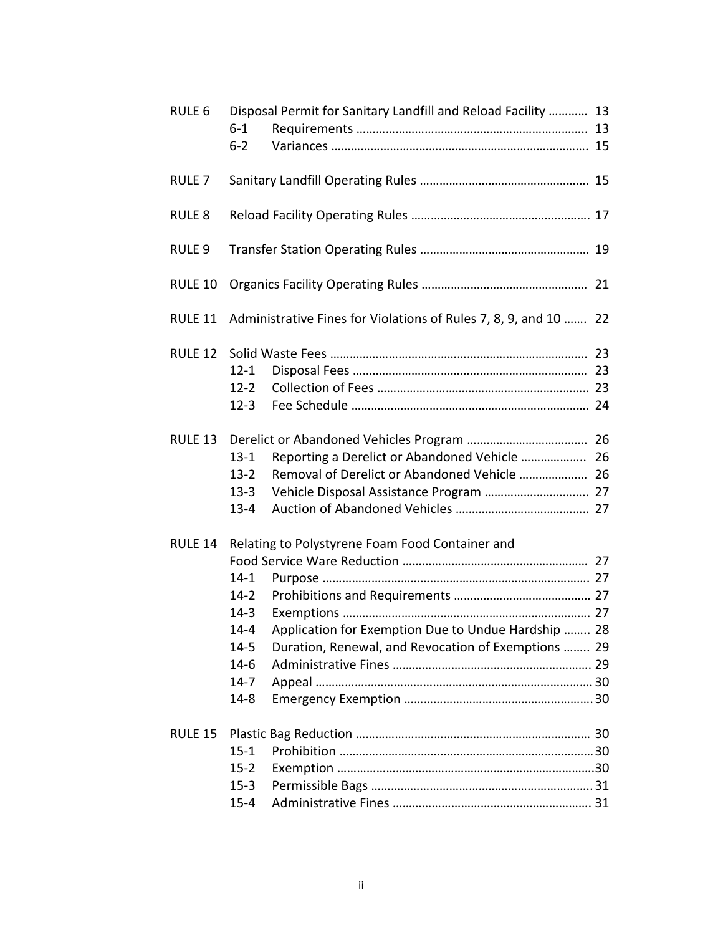| <b>RULE 6</b>     |          | Disposal Permit for Sanitary Landfill and Reload Facility  13    |  |
|-------------------|----------|------------------------------------------------------------------|--|
|                   | $6 - 1$  |                                                                  |  |
|                   | $6 - 2$  |                                                                  |  |
| RULE <sub>7</sub> |          |                                                                  |  |
| <b>RULE 8</b>     |          |                                                                  |  |
| RULE <sub>9</sub> |          |                                                                  |  |
| <b>RULE 10</b>    |          |                                                                  |  |
| <b>RULE 11</b>    |          | Administrative Fines for Violations of Rules 7, 8, 9, and 10  22 |  |
| <b>RULE 12</b>    |          |                                                                  |  |
|                   | $12 - 1$ |                                                                  |  |
|                   | $12 - 2$ |                                                                  |  |
|                   | $12 - 3$ |                                                                  |  |
| <b>RULE 13</b>    |          |                                                                  |  |
|                   | $13 - 1$ | Reporting a Derelict or Abandoned Vehicle  26                    |  |
|                   | $13 - 2$ | Removal of Derelict or Abandoned Vehicle  26                     |  |
|                   | $13 - 3$ |                                                                  |  |
|                   | $13 - 4$ |                                                                  |  |
| RULE 14           |          | Relating to Polystyrene Foam Food Container and                  |  |
|                   |          |                                                                  |  |
|                   | $14 - 1$ |                                                                  |  |
|                   | $14-2$   |                                                                  |  |
|                   | $14 - 3$ |                                                                  |  |
|                   | $14 - 4$ | Application for Exemption Due to Undue Hardship  28              |  |
|                   | $14 - 5$ | Duration, Renewal, and Revocation of Exemptions  29              |  |
|                   | $14-6$   |                                                                  |  |
|                   | $14 - 7$ |                                                                  |  |
|                   | $14 - 8$ |                                                                  |  |
| <b>RULE 15</b>    |          |                                                                  |  |
|                   | $15 - 1$ |                                                                  |  |
|                   | $15 - 2$ |                                                                  |  |
|                   | $15 - 3$ |                                                                  |  |
|                   | $15 - 4$ |                                                                  |  |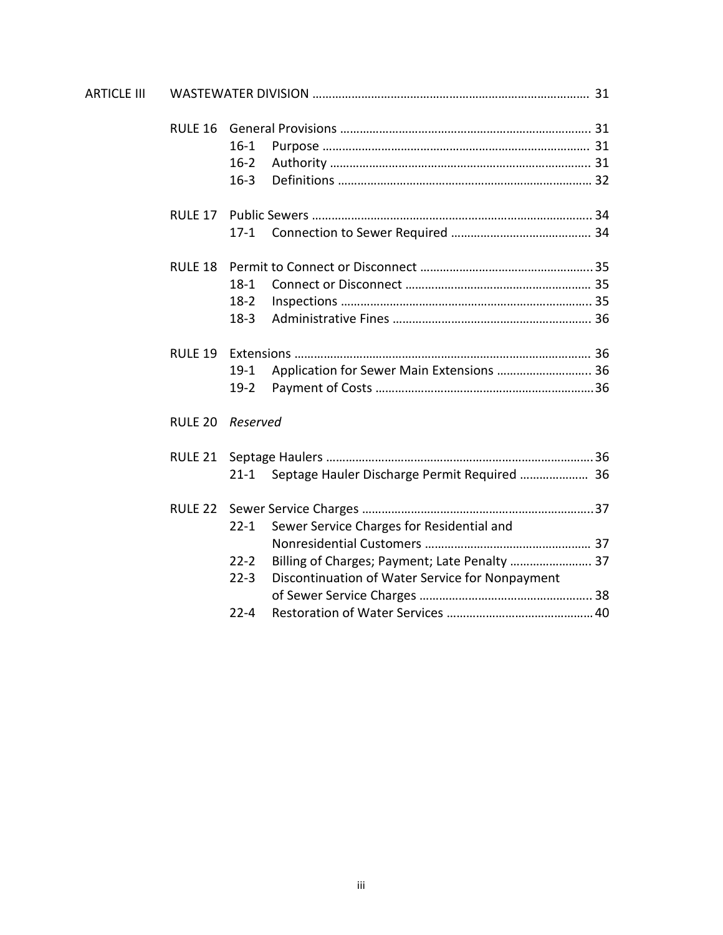| <b>ARTICLE III</b> |                    |          |                                                 |  |  |
|--------------------|--------------------|----------|-------------------------------------------------|--|--|
|                    | RULE <sub>16</sub> |          |                                                 |  |  |
|                    |                    | $16-1$   |                                                 |  |  |
|                    |                    | $16-2$   |                                                 |  |  |
|                    |                    | $16 - 3$ |                                                 |  |  |
|                    | RULE 17            |          |                                                 |  |  |
|                    |                    | $17-1$   |                                                 |  |  |
|                    | RULE 18            |          |                                                 |  |  |
|                    |                    | $18-1$   |                                                 |  |  |
|                    |                    | $18-2$   |                                                 |  |  |
|                    |                    | $18-3$   |                                                 |  |  |
|                    | <b>RULE 19</b>     |          |                                                 |  |  |
|                    |                    | $19-1$   | Application for Sewer Main Extensions  36       |  |  |
|                    |                    | $19-2$   |                                                 |  |  |
|                    | <b>RULE 20</b>     | Reserved |                                                 |  |  |
|                    | RULE 21            |          |                                                 |  |  |
|                    |                    | $21 - 1$ | Septage Hauler Discharge Permit Required  36    |  |  |
|                    | RULE 22            |          |                                                 |  |  |
|                    |                    | $22 - 1$ | Sewer Service Charges for Residential and       |  |  |
|                    |                    |          |                                                 |  |  |
|                    |                    | $22 - 2$ | Billing of Charges; Payment; Late Penalty  37   |  |  |
|                    |                    | $22 - 3$ | Discontinuation of Water Service for Nonpayment |  |  |
|                    |                    |          |                                                 |  |  |
|                    |                    | $22 - 4$ |                                                 |  |  |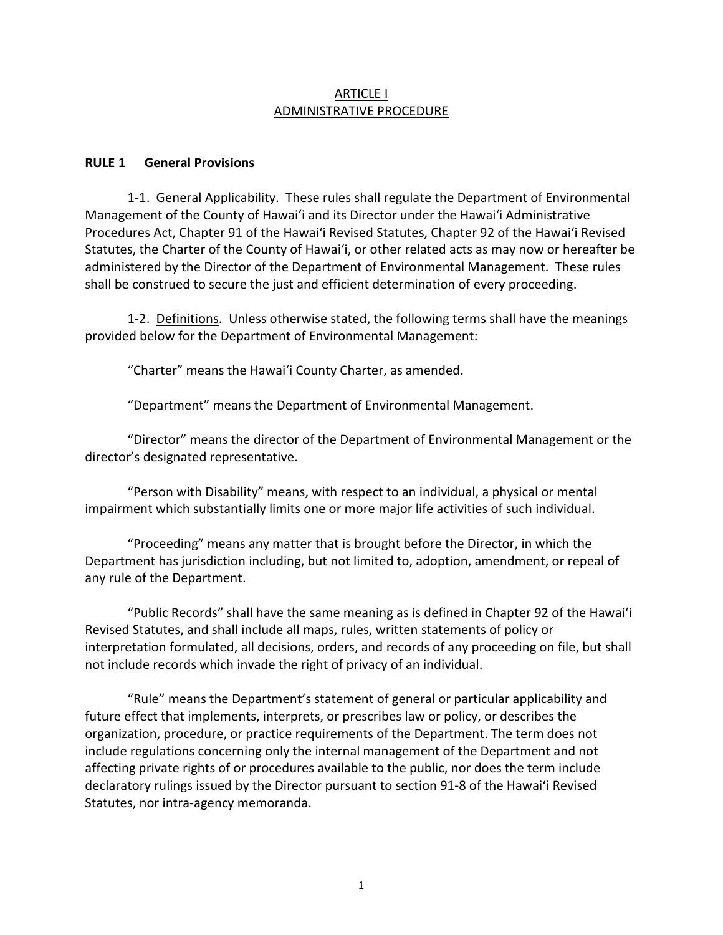### ARTICLE I ADMINISTRATIVE PROCEDURE

### **RULE 1 General Provisions**

1-1. General Applicability. These rules shall regulate the Department of Environmental Management of the County of Hawaiʻi and its Director under the Hawaiʻi Administrative Procedures Act, Chapter 91 of the Hawaiʻi Revised Statutes, Chapter 92 of the Hawaiʻi Revised Statutes, the Charter of the County of Hawaiʻi, or other related acts as may now or hereafter be administered by the Director of the Department of Environmental Management. These rules shall be construed to secure the just and efficient determination of every proceeding.

1-2. Definitions. Unless otherwise stated, the following terms shall have the meanings provided below for the Department of Environmental Management:

"Charter" means the Hawaiʻi County Charter, as amended.

"Department" means the Department of Environmental Management.

"Director" means the director of the Department of Environmental Management or the director's designated representative.

"Person with Disability" means, with respect to an individual, a physical or mental impairment which substantially limits one or more major life activities of such individual.

"Proceeding" means any matter that is brought before the Director, in which the Department has jurisdiction including, but not limited to, adoption, amendment, or repeal of any rule of the Department.

"Public Records" shall have the same meaning as is defined in Chapter 92 of the Hawaiʻi Revised Statutes, and shall include all maps, rules, written statements of policy or interpretation formulated, all decisions, orders, and records of any proceeding on file, but shall not include records which invade the right of privacy of an individual.

"Rule" means the Department's statement of general or particular applicability and future effect that implements, interprets, or prescribes law or policy, or describes the organization, procedure, or practice requirements of the Department. The term does not include regulations concerning only the internal management of the Department and not affecting private rights of or procedures available to the public, nor does the term include declaratory rulings issued by the Director pursuant to section 91-8 of the Hawaiʻi Revised Statutes, nor intra-agency memoranda.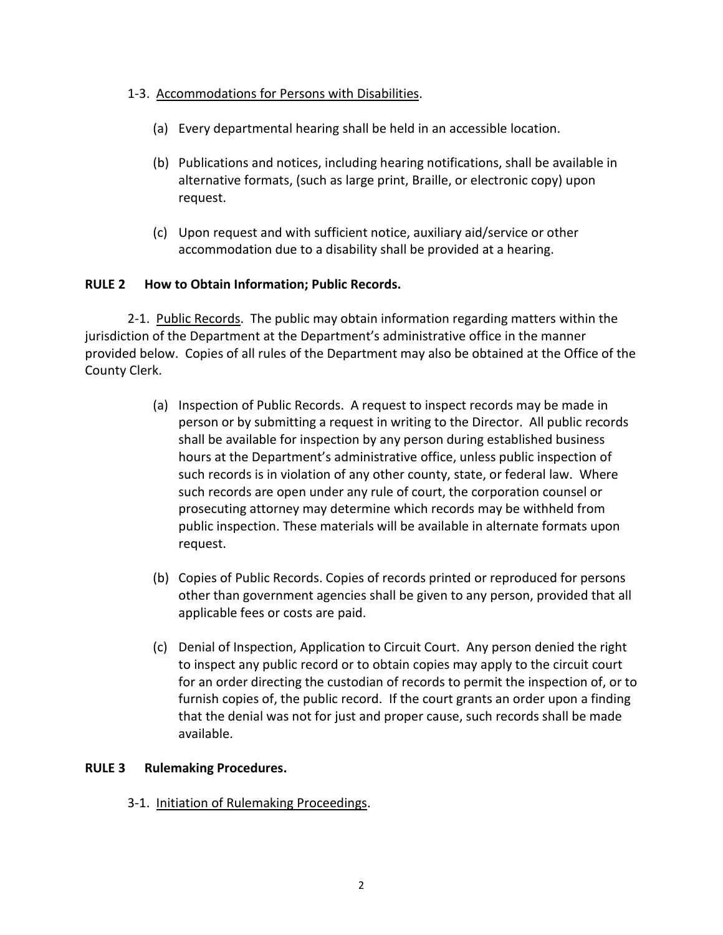### 1-3. Accommodations for Persons with Disabilities.

- (a) Every departmental hearing shall be held in an accessible location.
- (b) Publications and notices, including hearing notifications, shall be available in alternative formats, (such as large print, Braille, or electronic copy) upon request.
- (c) Upon request and with sufficient notice, auxiliary aid/service or other accommodation due to a disability shall be provided at a hearing.

### **RULE 2 How to Obtain Information; Public Records.**

2-1. Public Records. The public may obtain information regarding matters within the jurisdiction of the Department at the Department's administrative office in the manner provided below. Copies of all rules of the Department may also be obtained at the Office of the County Clerk.

- (a) Inspection of Public Records. A request to inspect records may be made in person or by submitting a request in writing to the Director. All public records shall be available for inspection by any person during established business hours at the Department's administrative office, unless public inspection of such records is in violation of any other county, state, or federal law. Where such records are open under any rule of court, the corporation counsel or prosecuting attorney may determine which records may be withheld from public inspection. These materials will be available in alternate formats upon request.
- (b) Copies of Public Records. Copies of records printed or reproduced for persons other than government agencies shall be given to any person, provided that all applicable fees or costs are paid.
- (c) Denial of Inspection, Application to Circuit Court. Any person denied the right to inspect any public record or to obtain copies may apply to the circuit court for an order directing the custodian of records to permit the inspection of, or to furnish copies of, the public record. If the court grants an order upon a finding that the denial was not for just and proper cause, such records shall be made available.

# **RULE 3 Rulemaking Procedures.**

3-1. Initiation of Rulemaking Proceedings.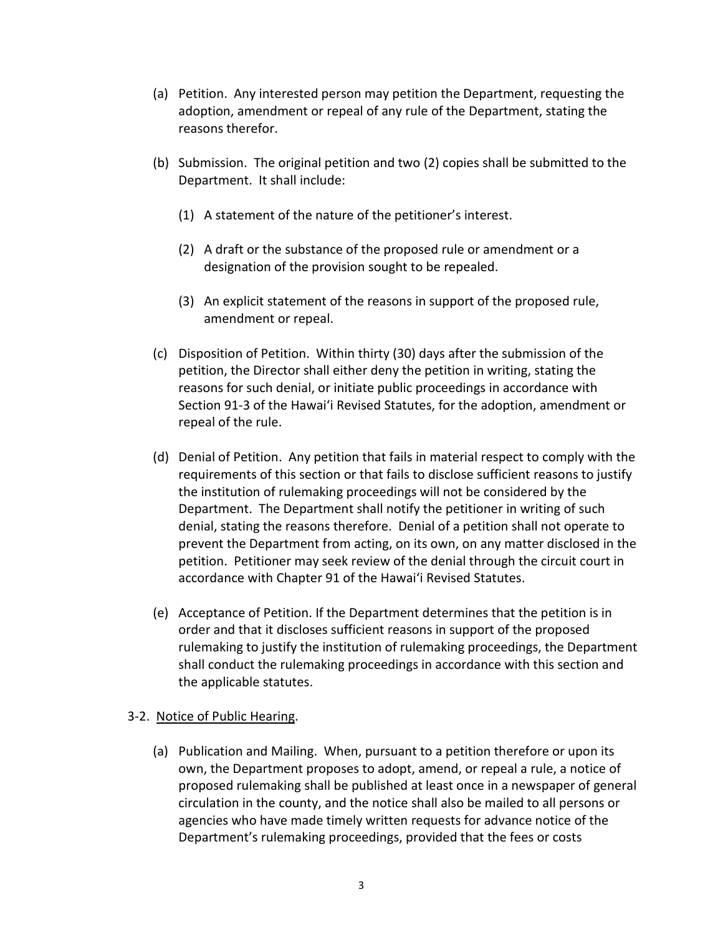- (a) Petition. Any interested person may petition the Department, requesting the adoption, amendment or repeal of any rule of the Department, stating the reasons therefor.
- (b) Submission. The original petition and two (2) copies shall be submitted to the Department. It shall include:
	- (1) A statement of the nature of the petitioner's interest.
	- (2) A draft or the substance of the proposed rule or amendment or a designation of the provision sought to be repealed.
	- (3) An explicit statement of the reasons in support of the proposed rule, amendment or repeal.
- (c) Disposition of Petition. Within thirty (30) days after the submission of the petition, the Director shall either deny the petition in writing, stating the reasons for such denial, or initiate public proceedings in accordance with Section 91-3 of the Hawaiʻi Revised Statutes, for the adoption, amendment or repeal of the rule.
- (d) Denial of Petition. Any petition that fails in material respect to comply with the requirements of this section or that fails to disclose sufficient reasons to justify the institution of rulemaking proceedings will not be considered by the Department. The Department shall notify the petitioner in writing of such denial, stating the reasons therefore. Denial of a petition shall not operate to prevent the Department from acting, on its own, on any matter disclosed in the petition. Petitioner may seek review of the denial through the circuit court in accordance with Chapter 91 of the Hawaiʻi Revised Statutes.
- (e) Acceptance of Petition. If the Department determines that the petition is in order and that it discloses sufficient reasons in support of the proposed rulemaking to justify the institution of rulemaking proceedings, the Department shall conduct the rulemaking proceedings in accordance with this section and the applicable statutes.

### 3-2. Notice of Public Hearing.

(a) Publication and Mailing. When, pursuant to a petition therefore or upon its own, the Department proposes to adopt, amend, or repeal a rule, a notice of proposed rulemaking shall be published at least once in a newspaper of general circulation in the county, and the notice shall also be mailed to all persons or agencies who have made timely written requests for advance notice of the Department's rulemaking proceedings, provided that the fees or costs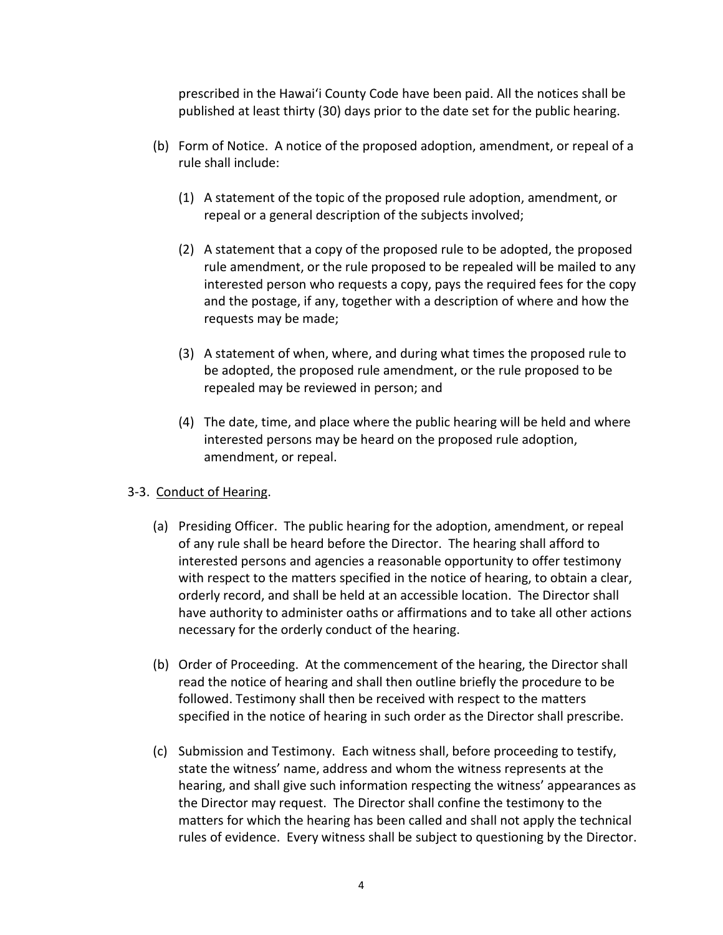prescribed in the Hawaiʻi County Code have been paid. All the notices shall be published at least thirty (30) days prior to the date set for the public hearing.

- (b) Form of Notice. A notice of the proposed adoption, amendment, or repeal of a rule shall include:
	- (1) A statement of the topic of the proposed rule adoption, amendment, or repeal or a general description of the subjects involved;
	- (2) A statement that a copy of the proposed rule to be adopted, the proposed rule amendment, or the rule proposed to be repealed will be mailed to any interested person who requests a copy, pays the required fees for the copy and the postage, if any, together with a description of where and how the requests may be made;
	- (3) A statement of when, where, and during what times the proposed rule to be adopted, the proposed rule amendment, or the rule proposed to be repealed may be reviewed in person; and
	- (4) The date, time, and place where the public hearing will be held and where interested persons may be heard on the proposed rule adoption, amendment, or repeal.

# 3-3. Conduct of Hearing.

- (a) Presiding Officer. The public hearing for the adoption, amendment, or repeal of any rule shall be heard before the Director. The hearing shall afford to interested persons and agencies a reasonable opportunity to offer testimony with respect to the matters specified in the notice of hearing, to obtain a clear, orderly record, and shall be held at an accessible location. The Director shall have authority to administer oaths or affirmations and to take all other actions necessary for the orderly conduct of the hearing.
- (b) Order of Proceeding. At the commencement of the hearing, the Director shall read the notice of hearing and shall then outline briefly the procedure to be followed. Testimony shall then be received with respect to the matters specified in the notice of hearing in such order as the Director shall prescribe.
- (c) Submission and Testimony. Each witness shall, before proceeding to testify, state the witness' name, address and whom the witness represents at the hearing, and shall give such information respecting the witness' appearances as the Director may request. The Director shall confine the testimony to the matters for which the hearing has been called and shall not apply the technical rules of evidence. Every witness shall be subject to questioning by the Director.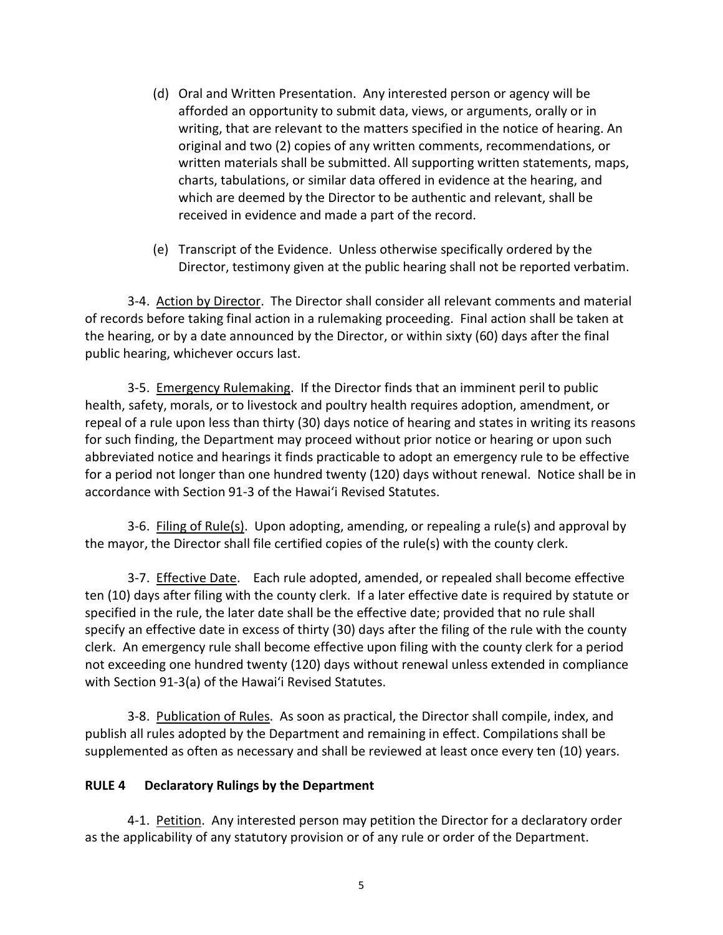- (d) Oral and Written Presentation. Any interested person or agency will be afforded an opportunity to submit data, views, or arguments, orally or in writing, that are relevant to the matters specified in the notice of hearing. An original and two (2) copies of any written comments, recommendations, or written materials shall be submitted. All supporting written statements, maps, charts, tabulations, or similar data offered in evidence at the hearing, and which are deemed by the Director to be authentic and relevant, shall be received in evidence and made a part of the record.
- (e) Transcript of the Evidence. Unless otherwise specifically ordered by the Director, testimony given at the public hearing shall not be reported verbatim.

3-4. Action by Director. The Director shall consider all relevant comments and material of records before taking final action in a rulemaking proceeding. Final action shall be taken at the hearing, or by a date announced by the Director, or within sixty (60) days after the final public hearing, whichever occurs last.

3-5. Emergency Rulemaking. If the Director finds that an imminent peril to public health, safety, morals, or to livestock and poultry health requires adoption, amendment, or repeal of a rule upon less than thirty (30) days notice of hearing and states in writing its reasons for such finding, the Department may proceed without prior notice or hearing or upon such abbreviated notice and hearings it finds practicable to adopt an emergency rule to be effective for a period not longer than one hundred twenty (120) days without renewal. Notice shall be in accordance with Section 91-3 of the Hawaiʻi Revised Statutes.

3-6. Filing of Rule(s). Upon adopting, amending, or repealing a rule(s) and approval by the mayor, the Director shall file certified copies of the rule(s) with the county clerk.

3-7. Effective Date. Each rule adopted, amended, or repealed shall become effective ten (10) days after filing with the county clerk. If a later effective date is required by statute or specified in the rule, the later date shall be the effective date; provided that no rule shall specify an effective date in excess of thirty (30) days after the filing of the rule with the county clerk. An emergency rule shall become effective upon filing with the county clerk for a period not exceeding one hundred twenty (120) days without renewal unless extended in compliance with Section 91-3(a) of the Hawaiʻi Revised Statutes.

3-8. Publication of Rules. As soon as practical, the Director shall compile, index, and publish all rules adopted by the Department and remaining in effect. Compilations shall be supplemented as often as necessary and shall be reviewed at least once every ten (10) years.

### **RULE 4 Declaratory Rulings by the Department**

4-1. Petition. Any interested person may petition the Director for a declaratory order as the applicability of any statutory provision or of any rule or order of the Department.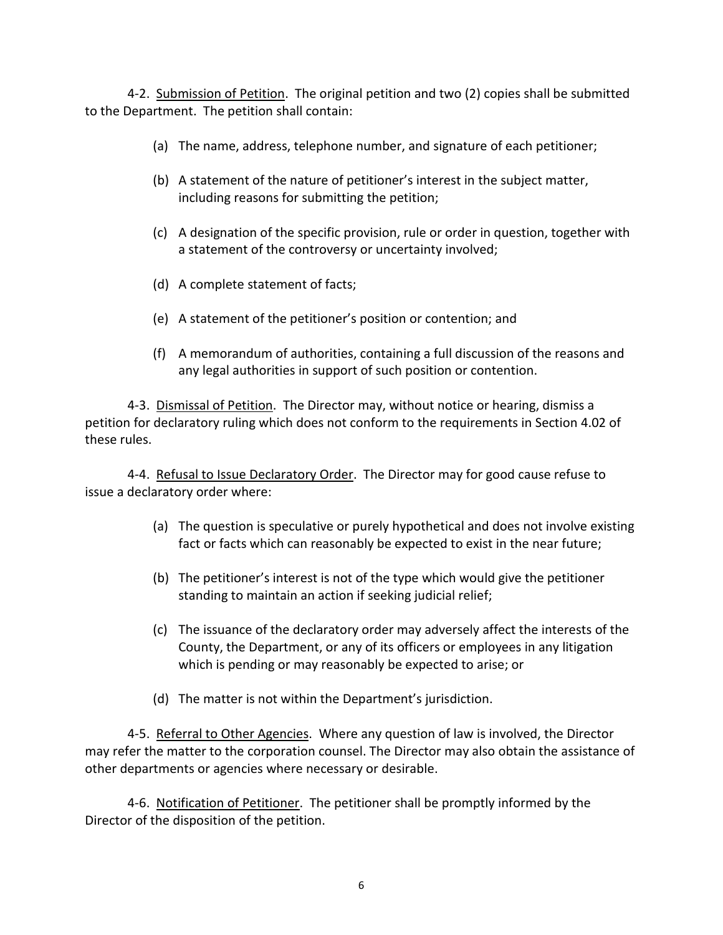4-2. Submission of Petition. The original petition and two (2) copies shall be submitted to the Department. The petition shall contain:

- (a) The name, address, telephone number, and signature of each petitioner;
- (b) A statement of the nature of petitioner's interest in the subject matter, including reasons for submitting the petition;
- (c) A designation of the specific provision, rule or order in question, together with a statement of the controversy or uncertainty involved;
- (d) A complete statement of facts;
- (e) A statement of the petitioner's position or contention; and
- (f) A memorandum of authorities, containing a full discussion of the reasons and any legal authorities in support of such position or contention.

4-3. Dismissal of Petition. The Director may, without notice or hearing, dismiss a petition for declaratory ruling which does not conform to the requirements in Section 4.02 of these rules.

4-4. Refusal to Issue Declaratory Order. The Director may for good cause refuse to issue a declaratory order where:

- (a) The question is speculative or purely hypothetical and does not involve existing fact or facts which can reasonably be expected to exist in the near future;
- (b) The petitioner's interest is not of the type which would give the petitioner standing to maintain an action if seeking judicial relief;
- (c) The issuance of the declaratory order may adversely affect the interests of the County, the Department, or any of its officers or employees in any litigation which is pending or may reasonably be expected to arise; or
- (d) The matter is not within the Department's jurisdiction.

4-5. Referral to Other Agencies. Where any question of law is involved, the Director may refer the matter to the corporation counsel. The Director may also obtain the assistance of other departments or agencies where necessary or desirable.

4-6. Notification of Petitioner. The petitioner shall be promptly informed by the Director of the disposition of the petition.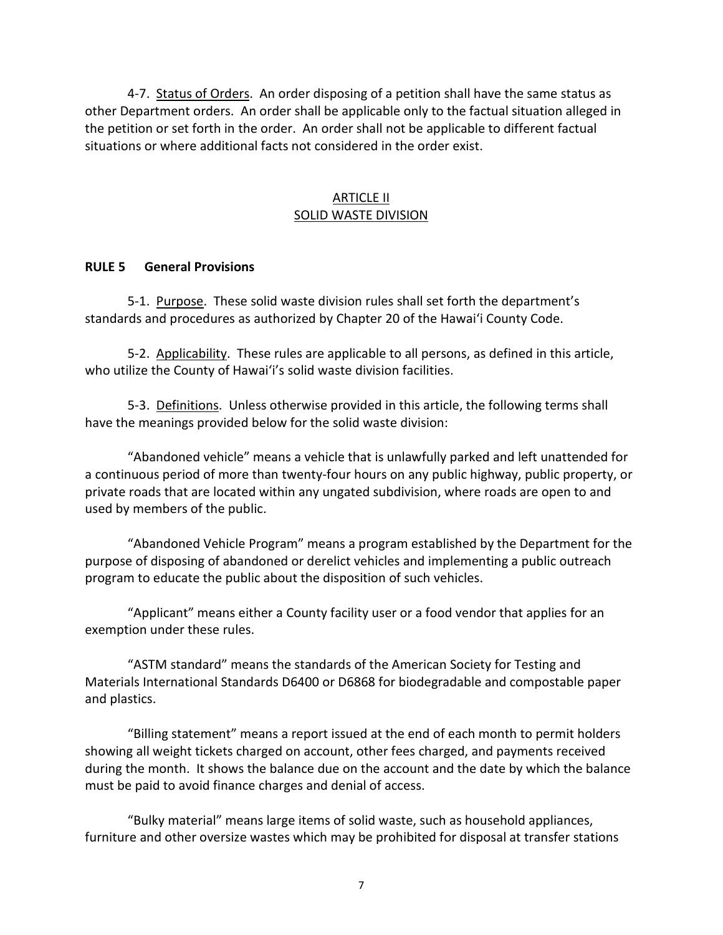4-7. Status of Orders. An order disposing of a petition shall have the same status as other Department orders. An order shall be applicable only to the factual situation alleged in the petition or set forth in the order. An order shall not be applicable to different factual situations or where additional facts not considered in the order exist.

## ARTICLE II SOLID WASTE DIVISION

### **RULE 5 General Provisions**

5-1. Purpose. These solid waste division rules shall set forth the department's standards and procedures as authorized by Chapter 20 of the Hawaiʻi County Code.

5-2. Applicability. These rules are applicable to all persons, as defined in this article, who utilize the County of Hawaiʻi's solid waste division facilities.

5-3. Definitions. Unless otherwise provided in this article, the following terms shall have the meanings provided below for the solid waste division:

"Abandoned vehicle" means a vehicle that is unlawfully parked and left unattended for a continuous period of more than twenty-four hours on any public highway, public property, or private roads that are located within any ungated subdivision, where roads are open to and used by members of the public.

"Abandoned Vehicle Program" means a program established by the Department for the purpose of disposing of abandoned or derelict vehicles and implementing a public outreach program to educate the public about the disposition of such vehicles.

"Applicant" means either a County facility user or a food vendor that applies for an exemption under these rules.

"ASTM standard" means the standards of the American Society for Testing and Materials International Standards D6400 or D6868 for biodegradable and compostable paper and plastics.

"Billing statement" means a report issued at the end of each month to permit holders showing all weight tickets charged on account, other fees charged, and payments received during the month. It shows the balance due on the account and the date by which the balance must be paid to avoid finance charges and denial of access.

"Bulky material" means large items of solid waste, such as household appliances, furniture and other oversize wastes which may be prohibited for disposal at transfer stations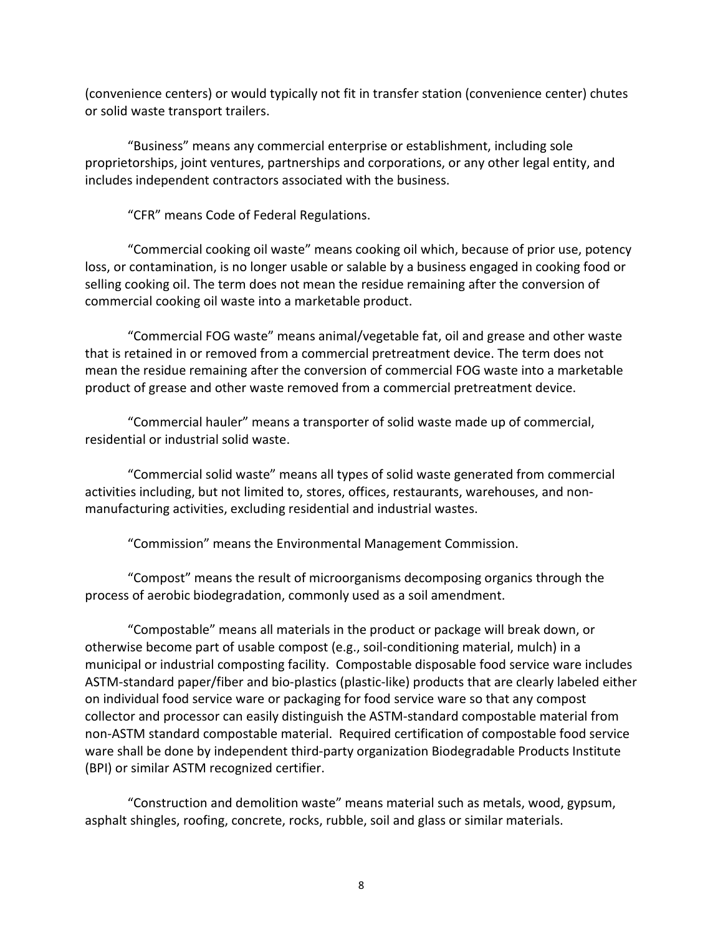(convenience centers) or would typically not fit in transfer station (convenience center) chutes or solid waste transport trailers.

"Business" means any commercial enterprise or establishment, including sole proprietorships, joint ventures, partnerships and corporations, or any other legal entity, and includes independent contractors associated with the business.

"CFR" means Code of Federal Regulations.

"Commercial cooking oil waste" means cooking oil which, because of prior use, potency loss, or contamination, is no longer usable or salable by a business engaged in cooking food or selling cooking oil. The term does not mean the residue remaining after the conversion of commercial cooking oil waste into a marketable product.

"Commercial FOG waste" means animal/vegetable fat, oil and grease and other waste that is retained in or removed from a commercial pretreatment device. The term does not mean the residue remaining after the conversion of commercial FOG waste into a marketable product of grease and other waste removed from a commercial pretreatment device.

"Commercial hauler" means a transporter of solid waste made up of commercial, residential or industrial solid waste.

"Commercial solid waste" means all types of solid waste generated from commercial activities including, but not limited to, stores, offices, restaurants, warehouses, and nonmanufacturing activities, excluding residential and industrial wastes.

"Commission" means the Environmental Management Commission.

"Compost" means the result of microorganisms decomposing organics through the process of aerobic biodegradation, commonly used as a soil amendment.

"Compostable" means all materials in the product or package will break down, or otherwise become part of usable compost (e.g., soil-conditioning material, mulch) in a municipal or industrial composting facility. Compostable disposable food service ware includes ASTM-standard paper/fiber and bio-plastics (plastic-like) products that are clearly labeled either on individual food service ware or packaging for food service ware so that any compost collector and processor can easily distinguish the ASTM-standard compostable material from non-ASTM standard compostable material. Required certification of compostable food service ware shall be done by independent third-party organization Biodegradable Products Institute (BPI) or similar ASTM recognized certifier.

"Construction and demolition waste" means material such as metals, wood, gypsum, asphalt shingles, roofing, concrete, rocks, rubble, soil and glass or similar materials.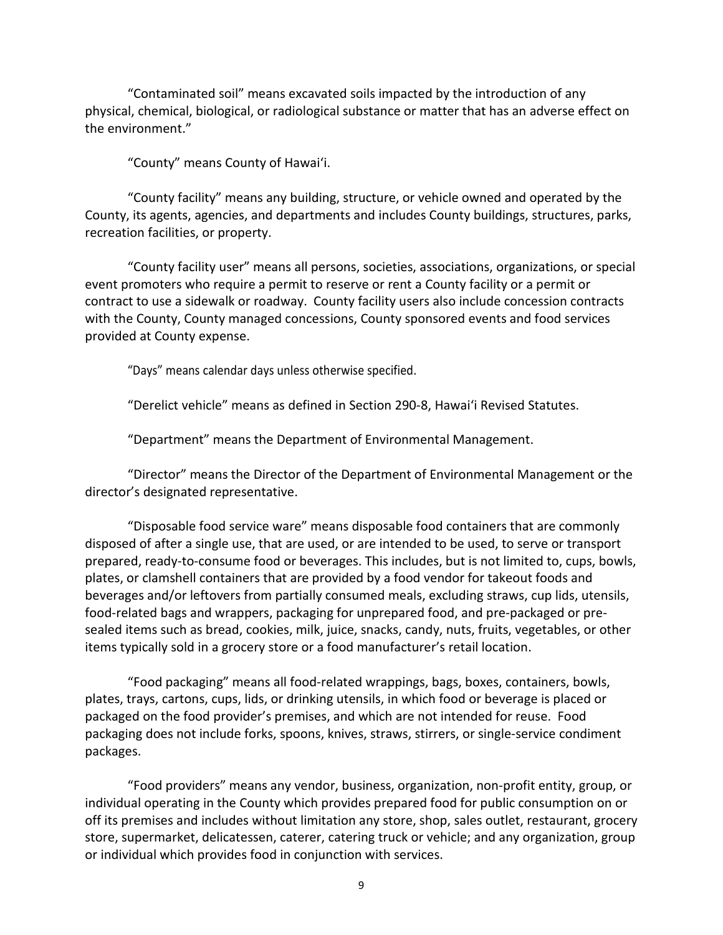"Contaminated soil" means excavated soils impacted by the introduction of any physical, chemical, biological, or radiological substance or matter that has an adverse effect on the environment."

"County" means County of Hawaiʻi.

"County facility" means any building, structure, or vehicle owned and operated by the County, its agents, agencies, and departments and includes County buildings, structures, parks, recreation facilities, or property.

"County facility user" means all persons, societies, associations, organizations, or special event promoters who require a permit to reserve or rent a County facility or a permit or contract to use a sidewalk or roadway. County facility users also include concession contracts with the County, County managed concessions, County sponsored events and food services provided at County expense.

"Days" means calendar days unless otherwise specified.

"Derelict vehicle" means as defined in Section 290-8, Hawaiʻi Revised Statutes.

"Department" means the Department of Environmental Management.

"Director" means the Director of the Department of Environmental Management or the director's designated representative.

"Disposable food service ware" means disposable food containers that are commonly disposed of after a single use, that are used, or are intended to be used, to serve or transport prepared, ready-to-consume food or beverages. This includes, but is not limited to, cups, bowls, plates, or clamshell containers that are provided by a food vendor for takeout foods and beverages and/or leftovers from partially consumed meals, excluding straws, cup lids, utensils, food-related bags and wrappers, packaging for unprepared food, and pre-packaged or presealed items such as bread, cookies, milk, juice, snacks, candy, nuts, fruits, vegetables, or other items typically sold in a grocery store or a food manufacturer's retail location.

"Food packaging" means all food-related wrappings, bags, boxes, containers, bowls, plates, trays, cartons, cups, lids, or drinking utensils, in which food or beverage is placed or packaged on the food provider's premises, and which are not intended for reuse. Food packaging does not include forks, spoons, knives, straws, stirrers, or single-service condiment packages.

"Food providers" means any vendor, business, organization, non-profit entity, group, or individual operating in the County which provides prepared food for public consumption on or off its premises and includes without limitation any store, shop, sales outlet, restaurant, grocery store, supermarket, delicatessen, caterer, catering truck or vehicle; and any organization, group or individual which provides food in conjunction with services.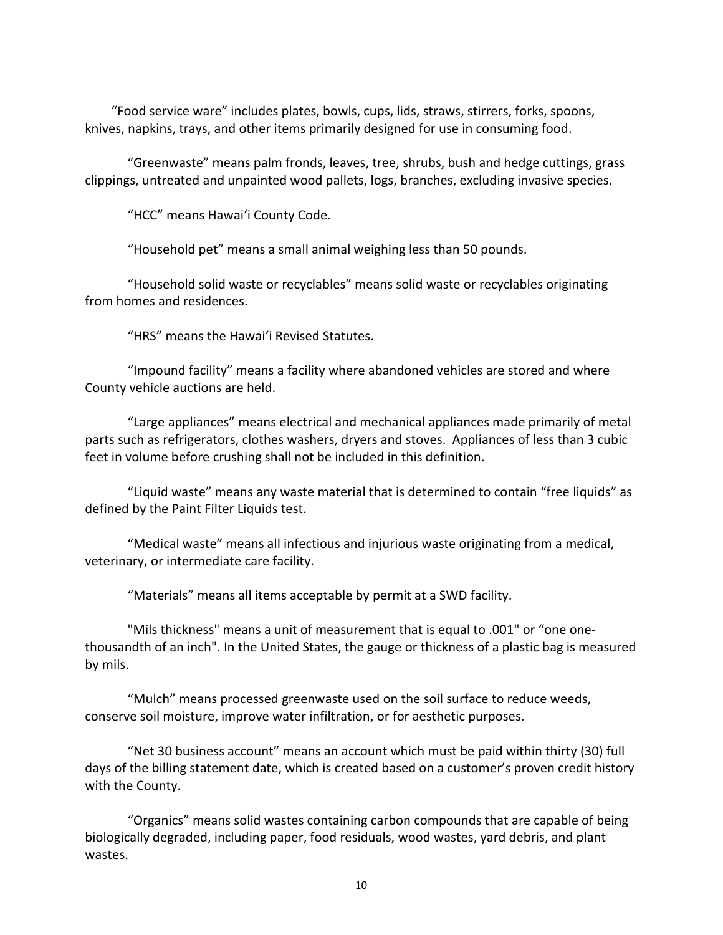"Food service ware" includes plates, bowls, cups, lids, straws, stirrers, forks, spoons, knives, napkins, trays, and other items primarily designed for use in consuming food.

"Greenwaste" means palm fronds, leaves, tree, shrubs, bush and hedge cuttings, grass clippings, untreated and unpainted wood pallets, logs, branches, excluding invasive species.

"HCC" means Hawaiʻi County Code.

"Household pet" means a small animal weighing less than 50 pounds.

"Household solid waste or recyclables" means solid waste or recyclables originating from homes and residences.

"HRS" means the Hawaiʻi Revised Statutes.

"Impound facility" means a facility where abandoned vehicles are stored and where County vehicle auctions are held.

"Large appliances" means electrical and mechanical appliances made primarily of metal parts such as refrigerators, clothes washers, dryers and stoves. Appliances of less than 3 cubic feet in volume before crushing shall not be included in this definition.

"Liquid waste" means any waste material that is determined to contain "free liquids" as defined by the Paint Filter Liquids test.

"Medical waste" means all infectious and injurious waste originating from a medical, veterinary, or intermediate care facility.

"Materials" means all items acceptable by permit at a SWD facility.

"Mils thickness" means a unit of measurement that is equal to .001" or "one onethousandth of an inch". In the United States, the gauge or thickness of a plastic bag is measured by mils.

"Mulch" means processed greenwaste used on the soil surface to reduce weeds, conserve soil moisture, improve water infiltration, or for aesthetic purposes.

"Net 30 business account" means an account which must be paid within thirty (30) full days of the billing statement date, which is created based on a customer's proven credit history with the County.

"Organics" means solid wastes containing carbon compounds that are capable of being biologically degraded, including paper, food residuals, wood wastes, yard debris, and plant wastes.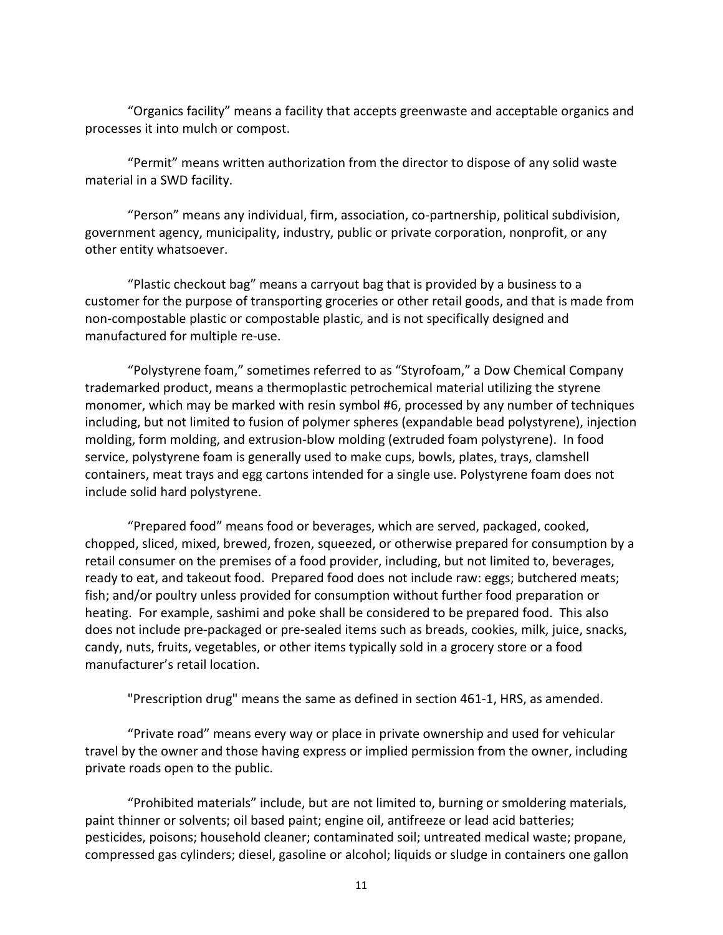"Organics facility" means a facility that accepts greenwaste and acceptable organics and processes it into mulch or compost.

"Permit" means written authorization from the director to dispose of any solid waste material in a SWD facility.

"Person" means any individual, firm, association, co-partnership, political subdivision, government agency, municipality, industry, public or private corporation, nonprofit, or any other entity whatsoever.

"Plastic checkout bag" means a carryout bag that is provided by a business to a customer for the purpose of transporting groceries or other retail goods, and that is made from non-compostable plastic or compostable plastic, and is not specifically designed and manufactured for multiple re-use.

"Polystyrene foam," sometimes referred to as "Styrofoam," a Dow Chemical Company trademarked product, means a thermoplastic petrochemical material utilizing the styrene monomer, which may be marked with resin symbol #6, processed by any number of techniques including, but not limited to fusion of polymer spheres (expandable bead polystyrene), injection molding, form molding, and extrusion-blow molding (extruded foam polystyrene). In food service, polystyrene foam is generally used to make cups, bowls, plates, trays, clamshell containers, meat trays and egg cartons intended for a single use. Polystyrene foam does not include solid hard polystyrene.

"Prepared food" means food or beverages, which are served, packaged, cooked, chopped, sliced, mixed, brewed, frozen, squeezed, or otherwise prepared for consumption by a retail consumer on the premises of a food provider, including, but not limited to, beverages, ready to eat, and takeout food. Prepared food does not include raw: eggs; butchered meats; fish; and/or poultry unless provided for consumption without further food preparation or heating. For example, sashimi and poke shall be considered to be prepared food. This also does not include pre-packaged or pre-sealed items such as breads, cookies, milk, juice, snacks, candy, nuts, fruits, vegetables, or other items typically sold in a grocery store or a food manufacturer's retail location.

"Prescription drug" means the same as defined in section 461-1, HRS, as amended.

"Private road" means every way or place in private ownership and used for vehicular travel by the owner and those having express or implied permission from the owner, including private roads open to the public.

"Prohibited materials" include, but are not limited to, burning or smoldering materials, paint thinner or solvents; oil based paint; engine oil, antifreeze or lead acid batteries; pesticides, poisons; household cleaner; contaminated soil; untreated medical waste; propane, compressed gas cylinders; diesel, gasoline or alcohol; liquids or sludge in containers one gallon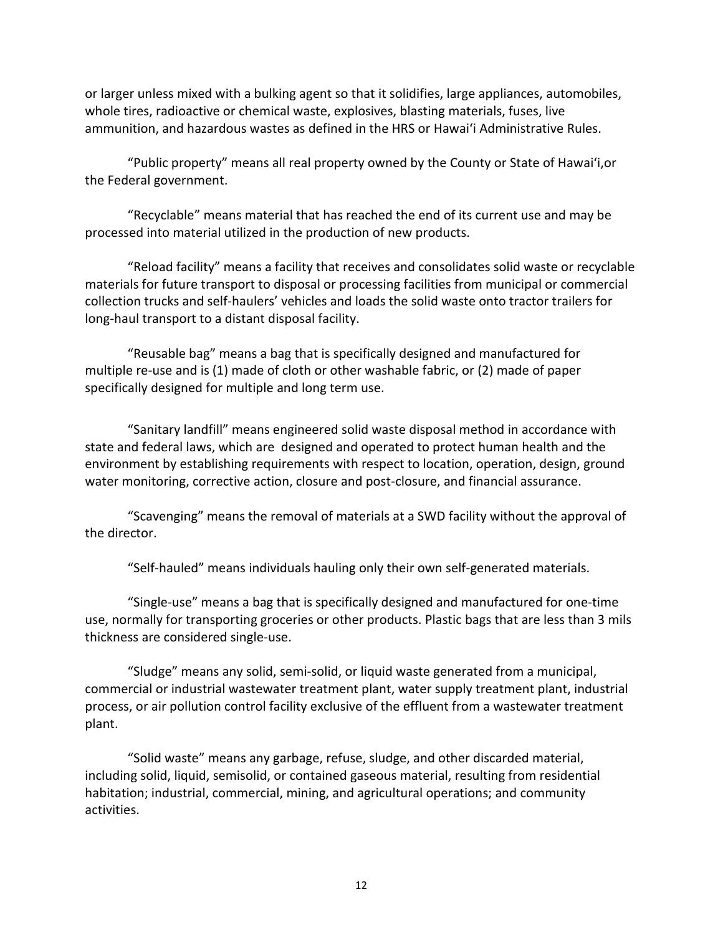or larger unless mixed with a bulking agent so that it solidifies, large appliances, automobiles, whole tires, radioactive or chemical waste, explosives, blasting materials, fuses, live ammunition, and hazardous wastes as defined in the HRS or Hawaiʻi Administrative Rules.

"Public property" means all real property owned by the County or State of Hawaiʻi,or the Federal government.

"Recyclable" means material that has reached the end of its current use and may be processed into material utilized in the production of new products.

"Reload facility" means a facility that receives and consolidates solid waste or recyclable materials for future transport to disposal or processing facilities from municipal or commercial collection trucks and self-haulers' vehicles and loads the solid waste onto tractor trailers for long-haul transport to a distant disposal facility.

"Reusable bag" means a bag that is specifically designed and manufactured for multiple re-use and is (1) made of cloth or other washable fabric, or (2) made of paper specifically designed for multiple and long term use.

"Sanitary landfill" means engineered solid waste disposal method in accordance with state and federal laws, which are designed and operated to protect human health and the environment by establishing requirements with respect to location, operation, design, ground water monitoring, corrective action, closure and post-closure, and financial assurance.

"Scavenging" means the removal of materials at a SWD facility without the approval of the director.

"Self-hauled" means individuals hauling only their own self-generated materials.

"Single-use" means a bag that is specifically designed and manufactured for one-time use, normally for transporting groceries or other products. Plastic bags that are less than 3 mils thickness are considered single-use.

"Sludge" means any solid, semi-solid, or liquid waste generated from a municipal, commercial or industrial wastewater treatment plant, water supply treatment plant, industrial process, or air pollution control facility exclusive of the effluent from a wastewater treatment plant.

"Solid waste" means any garbage, refuse, sludge, and other discarded material, including solid, liquid, semisolid, or contained gaseous material, resulting from residential habitation; industrial, commercial, mining, and agricultural operations; and community activities.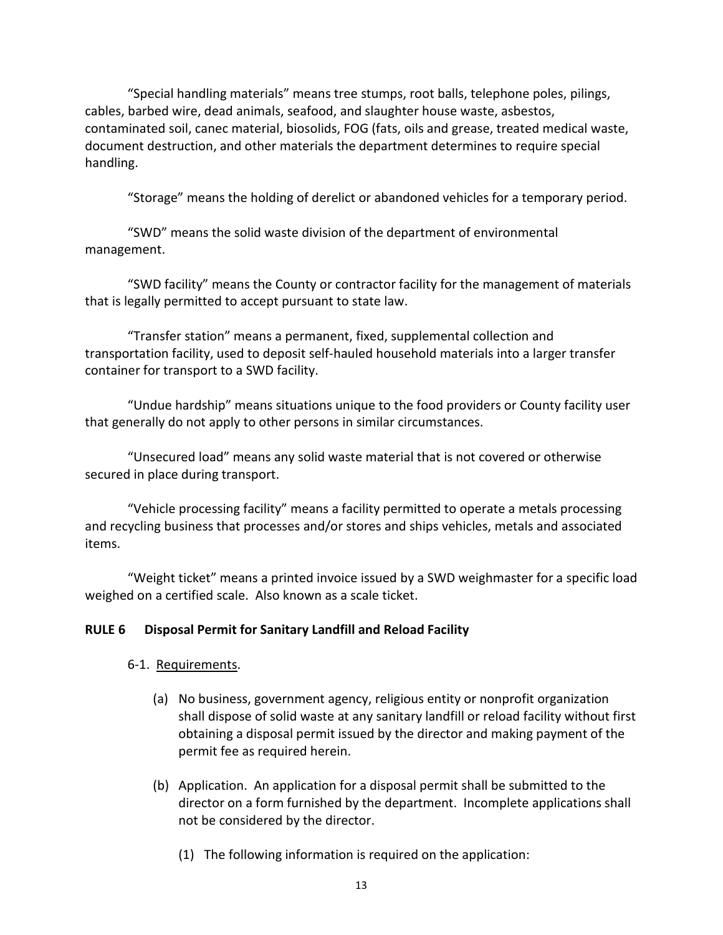"Special handling materials" means tree stumps, root balls, telephone poles, pilings, cables, barbed wire, dead animals, seafood, and slaughter house waste, asbestos, contaminated soil, canec material, biosolids, FOG (fats, oils and grease, treated medical waste, document destruction, and other materials the department determines to require special handling.

"Storage" means the holding of derelict or abandoned vehicles for a temporary period.

"SWD" means the solid waste division of the department of environmental management.

"SWD facility" means the County or contractor facility for the management of materials that is legally permitted to accept pursuant to state law.

"Transfer station" means a permanent, fixed, supplemental collection and transportation facility, used to deposit self-hauled household materials into a larger transfer container for transport to a SWD facility.

"Undue hardship" means situations unique to the food providers or County facility user that generally do not apply to other persons in similar circumstances.

"Unsecured load" means any solid waste material that is not covered or otherwise secured in place during transport.

"Vehicle processing facility" means a facility permitted to operate a metals processing and recycling business that processes and/or stores and ships vehicles, metals and associated items.

"Weight ticket" means a printed invoice issued by a SWD weighmaster for a specific load weighed on a certified scale. Also known as a scale ticket.

# **RULE 6 Disposal Permit for Sanitary Landfill and Reload Facility**

# 6-1. Requirements.

- (a) No business, government agency, religious entity or nonprofit organization shall dispose of solid waste at any sanitary landfill or reload facility without first obtaining a disposal permit issued by the director and making payment of the permit fee as required herein.
- (b) Application. An application for a disposal permit shall be submitted to the director on a form furnished by the department. Incomplete applications shall not be considered by the director.
	- (1) The following information is required on the application: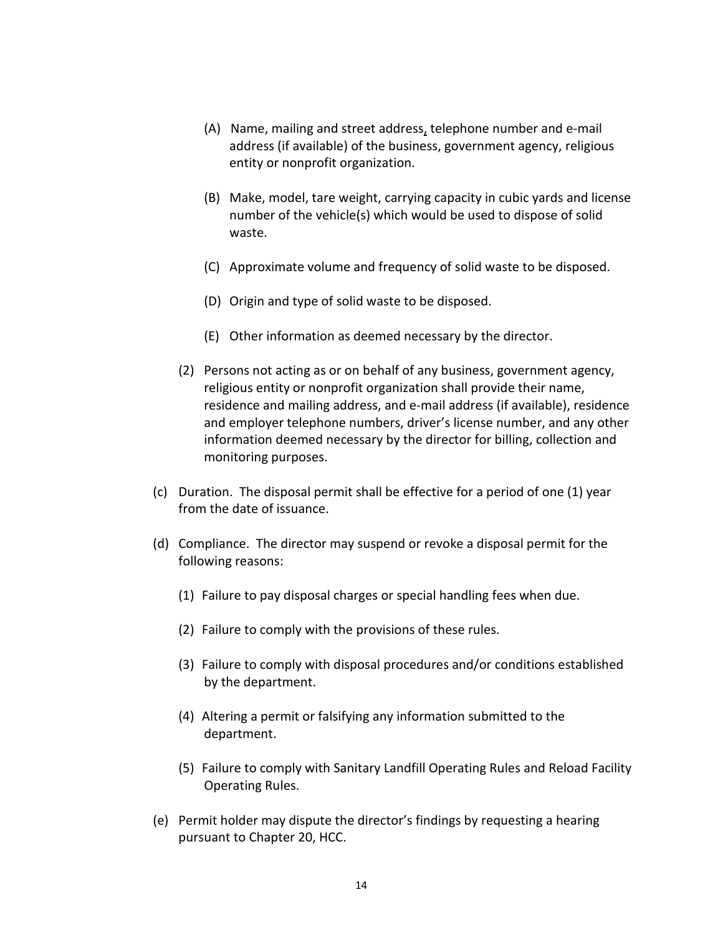- (A) Name, mailing and street address, telephone number and e-mail address (if available) of the business, government agency, religious entity or nonprofit organization.
- (B) Make, model, tare weight, carrying capacity in cubic yards and license number of the vehicle(s) which would be used to dispose of solid waste.
- (C) Approximate volume and frequency of solid waste to be disposed.
- (D) Origin and type of solid waste to be disposed.
- (E) Other information as deemed necessary by the director.
- (2) Persons not acting as or on behalf of any business, government agency, religious entity or nonprofit organization shall provide their name, residence and mailing address, and e-mail address (if available), residence and employer telephone numbers, driver's license number, and any other information deemed necessary by the director for billing, collection and monitoring purposes.
- (c) Duration. The disposal permit shall be effective for a period of one (1) year from the date of issuance.
- (d) Compliance. The director may suspend or revoke a disposal permit for the following reasons:
	- (1) Failure to pay disposal charges or special handling fees when due.
	- (2) Failure to comply with the provisions of these rules.
	- (3) Failure to comply with disposal procedures and/or conditions established by the department.
	- (4) Altering a permit or falsifying any information submitted to the department.
	- (5) Failure to comply with Sanitary Landfill Operating Rules and Reload Facility Operating Rules.
- (e) Permit holder may dispute the director's findings by requesting a hearing pursuant to Chapter 20, HCC.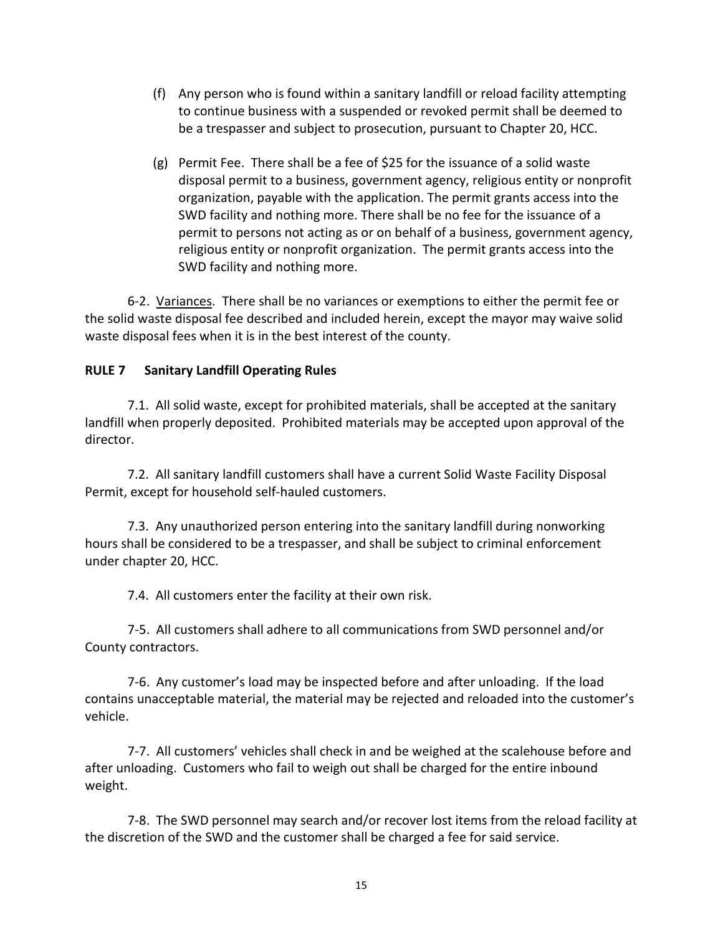- (f) Any person who is found within a sanitary landfill or reload facility attempting to continue business with a suspended or revoked permit shall be deemed to be a trespasser and subject to prosecution, pursuant to Chapter 20, HCC.
- (g) Permit Fee. There shall be a fee of \$25 for the issuance of a solid waste disposal permit to a business, government agency, religious entity or nonprofit organization, payable with the application. The permit grants access into the SWD facility and nothing more. There shall be no fee for the issuance of a permit to persons not acting as or on behalf of a business, government agency, religious entity or nonprofit organization. The permit grants access into the SWD facility and nothing more.

6-2. Variances. There shall be no variances or exemptions to either the permit fee or the solid waste disposal fee described and included herein, except the mayor may waive solid waste disposal fees when it is in the best interest of the county.

# **RULE 7 Sanitary Landfill Operating Rules**

7.1. All solid waste, except for prohibited materials, shall be accepted at the sanitary landfill when properly deposited. Prohibited materials may be accepted upon approval of the director.

7.2. All sanitary landfill customers shall have a current Solid Waste Facility Disposal Permit, except for household self-hauled customers.

7.3. Any unauthorized person entering into the sanitary landfill during nonworking hours shall be considered to be a trespasser, and shall be subject to criminal enforcement under chapter 20, HCC.

7.4. All customers enter the facility at their own risk.

7-5. All customers shall adhere to all communications from SWD personnel and/or County contractors.

7-6. Any customer's load may be inspected before and after unloading. If the load contains unacceptable material, the material may be rejected and reloaded into the customer's vehicle.

7-7. All customers' vehicles shall check in and be weighed at the scalehouse before and after unloading. Customers who fail to weigh out shall be charged for the entire inbound weight.

7-8. The SWD personnel may search and/or recover lost items from the reload facility at the discretion of the SWD and the customer shall be charged a fee for said service.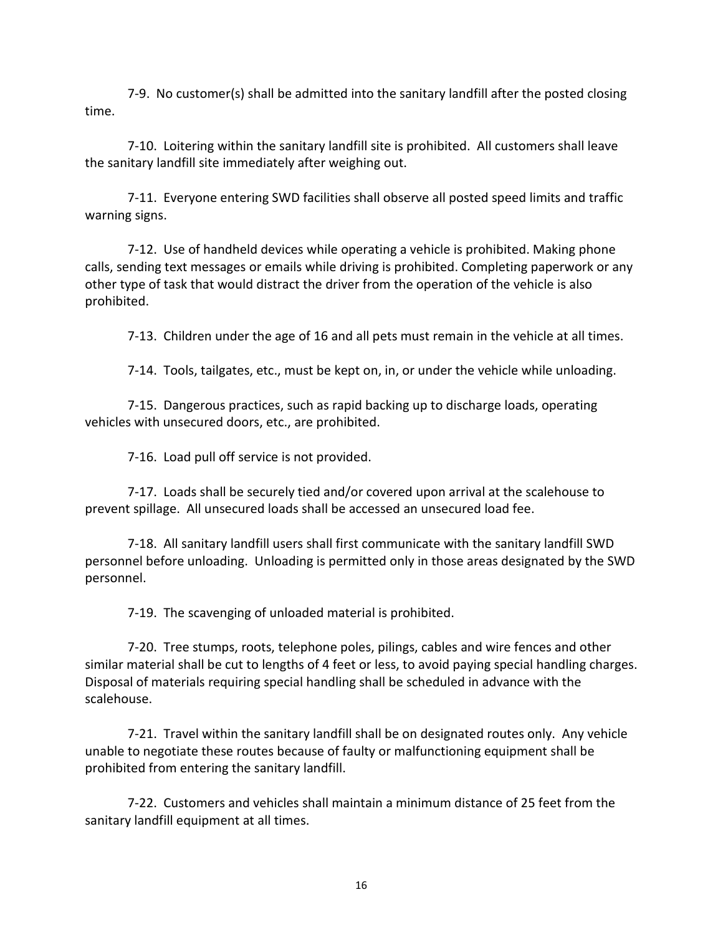7-9. No customer(s) shall be admitted into the sanitary landfill after the posted closing time.

7-10. Loitering within the sanitary landfill site is prohibited. All customers shall leave the sanitary landfill site immediately after weighing out.

7-11. Everyone entering SWD facilities shall observe all posted speed limits and traffic warning signs.

7-12. Use of handheld devices while operating a vehicle is prohibited. Making phone calls, sending text messages or emails while driving is prohibited. Completing paperwork or any other type of task that would distract the driver from the operation of the vehicle is also prohibited.

7-13. Children under the age of 16 and all pets must remain in the vehicle at all times.

7-14. Tools, tailgates, etc., must be kept on, in, or under the vehicle while unloading.

7-15. Dangerous practices, such as rapid backing up to discharge loads, operating vehicles with unsecured doors, etc., are prohibited.

7-16. Load pull off service is not provided.

7-17. Loads shall be securely tied and/or covered upon arrival at the scalehouse to prevent spillage. All unsecured loads shall be accessed an unsecured load fee.

7-18. All sanitary landfill users shall first communicate with the sanitary landfill SWD personnel before unloading. Unloading is permitted only in those areas designated by the SWD personnel.

7-19. The scavenging of unloaded material is prohibited.

7-20. Tree stumps, roots, telephone poles, pilings, cables and wire fences and other similar material shall be cut to lengths of 4 feet or less, to avoid paying special handling charges. Disposal of materials requiring special handling shall be scheduled in advance with the scalehouse.

7-21. Travel within the sanitary landfill shall be on designated routes only. Any vehicle unable to negotiate these routes because of faulty or malfunctioning equipment shall be prohibited from entering the sanitary landfill.

7-22. Customers and vehicles shall maintain a minimum distance of 25 feet from the sanitary landfill equipment at all times.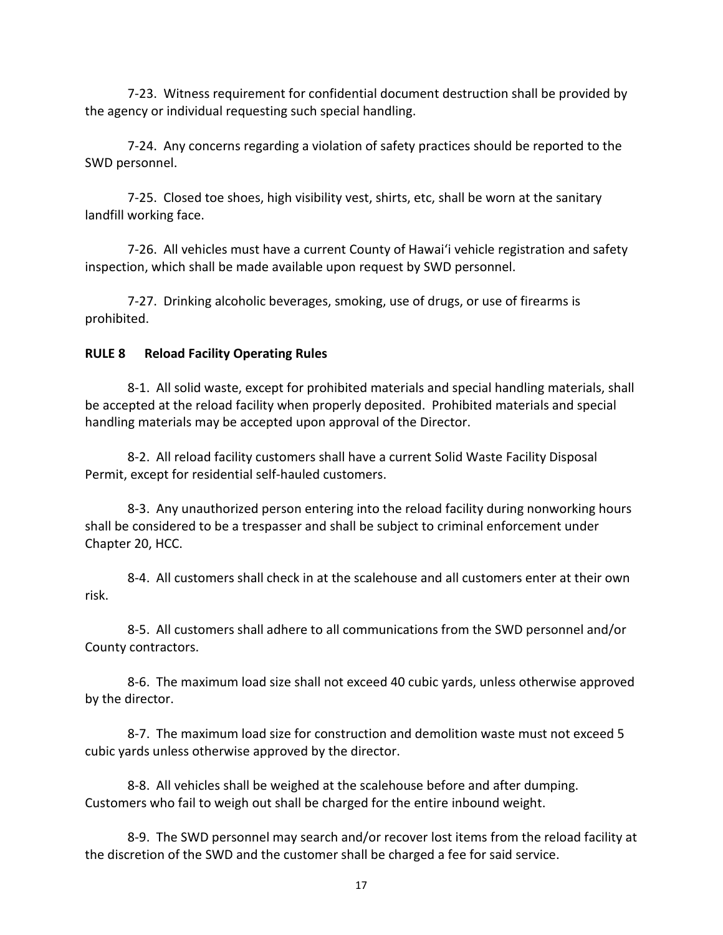7-23. Witness requirement for confidential document destruction shall be provided by the agency or individual requesting such special handling.

7-24. Any concerns regarding a violation of safety practices should be reported to the SWD personnel.

7-25. Closed toe shoes, high visibility vest, shirts, etc, shall be worn at the sanitary landfill working face.

7-26. All vehicles must have a current County of Hawaiʻi vehicle registration and safety inspection, which shall be made available upon request by SWD personnel.

7-27. Drinking alcoholic beverages, smoking, use of drugs, or use of firearms is prohibited.

# **RULE 8 Reload Facility Operating Rules**

8-1. All solid waste, except for prohibited materials and special handling materials, shall be accepted at the reload facility when properly deposited. Prohibited materials and special handling materials may be accepted upon approval of the Director.

8-2. All reload facility customers shall have a current Solid Waste Facility Disposal Permit, except for residential self-hauled customers.

8-3. Any unauthorized person entering into the reload facility during nonworking hours shall be considered to be a trespasser and shall be subject to criminal enforcement under Chapter 20, HCC.

8-4. All customers shall check in at the scalehouse and all customers enter at their own risk.

8-5. All customers shall adhere to all communications from the SWD personnel and/or County contractors.

8-6. The maximum load size shall not exceed 40 cubic yards, unless otherwise approved by the director.

8-7. The maximum load size for construction and demolition waste must not exceed 5 cubic yards unless otherwise approved by the director.

8-8. All vehicles shall be weighed at the scalehouse before and after dumping. Customers who fail to weigh out shall be charged for the entire inbound weight.

8-9. The SWD personnel may search and/or recover lost items from the reload facility at the discretion of the SWD and the customer shall be charged a fee for said service.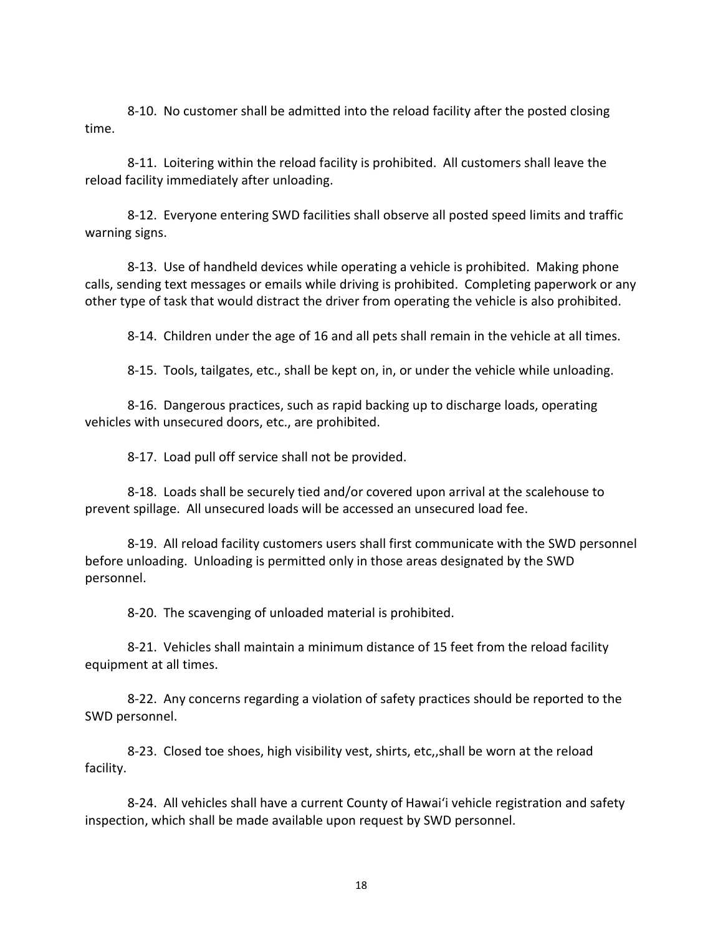8-10. No customer shall be admitted into the reload facility after the posted closing time.

8-11. Loitering within the reload facility is prohibited. All customers shall leave the reload facility immediately after unloading.

8-12. Everyone entering SWD facilities shall observe all posted speed limits and traffic warning signs.

8-13. Use of handheld devices while operating a vehicle is prohibited. Making phone calls, sending text messages or emails while driving is prohibited. Completing paperwork or any other type of task that would distract the driver from operating the vehicle is also prohibited.

8-14. Children under the age of 16 and all pets shall remain in the vehicle at all times.

8-15. Tools, tailgates, etc., shall be kept on, in, or under the vehicle while unloading.

8-16. Dangerous practices, such as rapid backing up to discharge loads, operating vehicles with unsecured doors, etc., are prohibited.

8-17. Load pull off service shall not be provided.

8-18. Loads shall be securely tied and/or covered upon arrival at the scalehouse to prevent spillage. All unsecured loads will be accessed an unsecured load fee.

8-19. All reload facility customers users shall first communicate with the SWD personnel before unloading. Unloading is permitted only in those areas designated by the SWD personnel.

8-20. The scavenging of unloaded material is prohibited.

8-21. Vehicles shall maintain a minimum distance of 15 feet from the reload facility equipment at all times.

8-22. Any concerns regarding a violation of safety practices should be reported to the SWD personnel.

8-23. Closed toe shoes, high visibility vest, shirts, etc,,shall be worn at the reload facility.

8-24. All vehicles shall have a current County of Hawaiʻi vehicle registration and safety inspection, which shall be made available upon request by SWD personnel.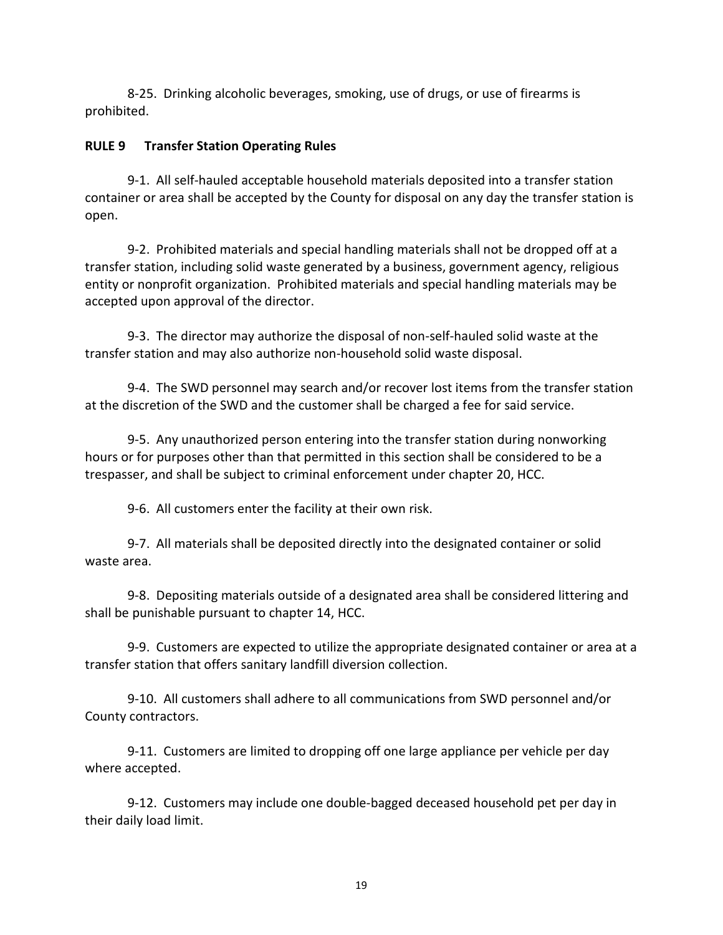8-25. Drinking alcoholic beverages, smoking, use of drugs, or use of firearms is prohibited.

## **RULE 9 Transfer Station Operating Rules**

9-1. All self-hauled acceptable household materials deposited into a transfer station container or area shall be accepted by the County for disposal on any day the transfer station is open.

9-2. Prohibited materials and special handling materials shall not be dropped off at a transfer station, including solid waste generated by a business, government agency, religious entity or nonprofit organization. Prohibited materials and special handling materials may be accepted upon approval of the director.

9-3. The director may authorize the disposal of non-self-hauled solid waste at the transfer station and may also authorize non-household solid waste disposal.

9-4. The SWD personnel may search and/or recover lost items from the transfer station at the discretion of the SWD and the customer shall be charged a fee for said service.

9-5. Any unauthorized person entering into the transfer station during nonworking hours or for purposes other than that permitted in this section shall be considered to be a trespasser, and shall be subject to criminal enforcement under chapter 20, HCC.

9-6. All customers enter the facility at their own risk.

9-7. All materials shall be deposited directly into the designated container or solid waste area.

9-8. Depositing materials outside of a designated area shall be considered littering and shall be punishable pursuant to chapter 14, HCC.

9-9. Customers are expected to utilize the appropriate designated container or area at a transfer station that offers sanitary landfill diversion collection.

9-10. All customers shall adhere to all communications from SWD personnel and/or County contractors.

9-11. Customers are limited to dropping off one large appliance per vehicle per day where accepted.

9-12. Customers may include one double-bagged deceased household pet per day in their daily load limit.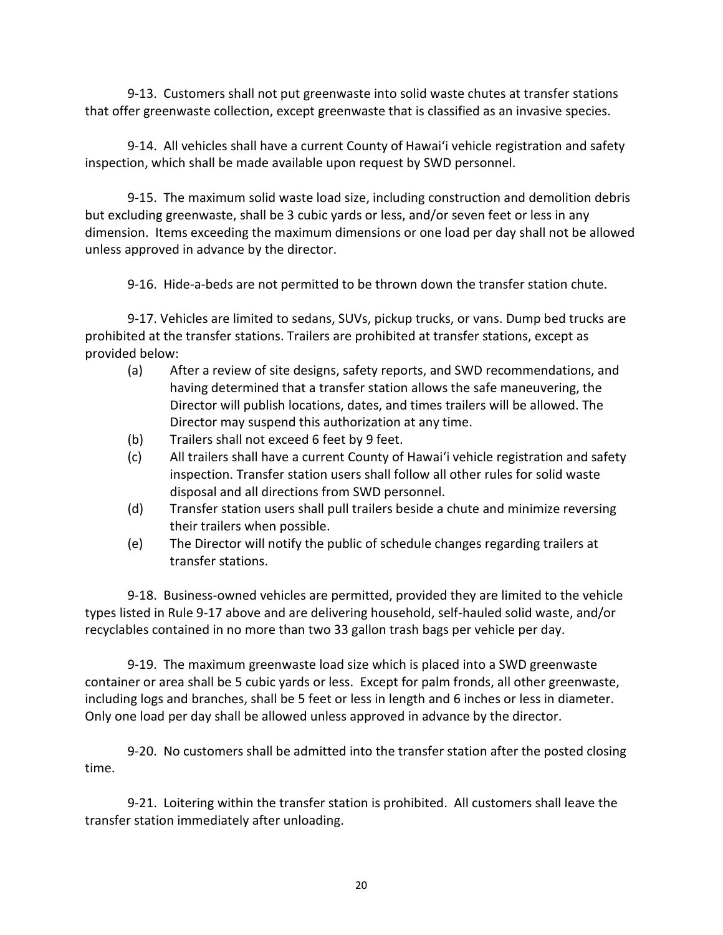9-13. Customers shall not put greenwaste into solid waste chutes at transfer stations that offer greenwaste collection, except greenwaste that is classified as an invasive species.

9-14. All vehicles shall have a current County of Hawaiʻi vehicle registration and safety inspection, which shall be made available upon request by SWD personnel.

9-15. The maximum solid waste load size, including construction and demolition debris but excluding greenwaste, shall be 3 cubic yards or less, and/or seven feet or less in any dimension. Items exceeding the maximum dimensions or one load per day shall not be allowed unless approved in advance by the director.

9-16. Hide-a-beds are not permitted to be thrown down the transfer station chute.

9-17. Vehicles are limited to sedans, SUVs, pickup trucks, or vans. Dump bed trucks are prohibited at the transfer stations. Trailers are prohibited at transfer stations, except as provided below:

- (a) After a review of site designs, safety reports, and SWD recommendations, and having determined that a transfer station allows the safe maneuvering, the Director will publish locations, dates, and times trailers will be allowed. The Director may suspend this authorization at any time.
- (b) Trailers shall not exceed 6 feet by 9 feet.
- (c) All trailers shall have a current County of Hawai'i vehicle registration and safety inspection. Transfer station users shall follow all other rules for solid waste disposal and all directions from SWD personnel.
- (d) Transfer station users shall pull trailers beside a chute and minimize reversing their trailers when possible.
- (e) The Director will notify the public of schedule changes regarding trailers at transfer stations.

9-18. Business-owned vehicles are permitted, provided they are limited to the vehicle types listed in Rule 9-17 above and are delivering household, self-hauled solid waste, and/or recyclables contained in no more than two 33 gallon trash bags per vehicle per day.

9-19. The maximum greenwaste load size which is placed into a SWD greenwaste container or area shall be 5 cubic yards or less. Except for palm fronds, all other greenwaste, including logs and branches, shall be 5 feet or less in length and 6 inches or less in diameter. Only one load per day shall be allowed unless approved in advance by the director.

9-20. No customers shall be admitted into the transfer station after the posted closing time.

9-21. Loitering within the transfer station is prohibited. All customers shall leave the transfer station immediately after unloading.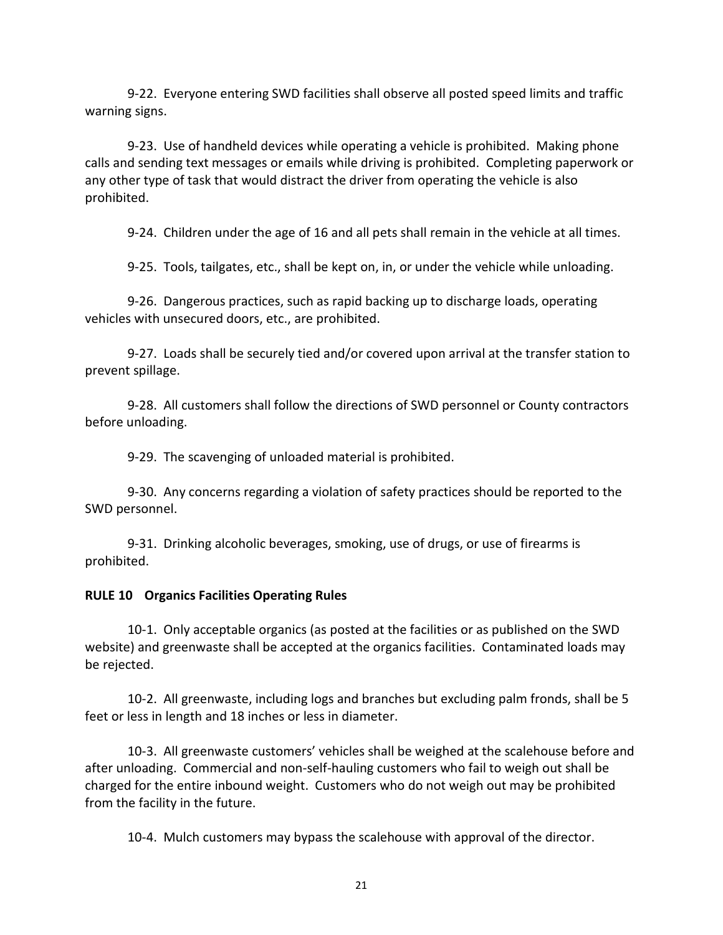9-22. Everyone entering SWD facilities shall observe all posted speed limits and traffic warning signs.

9-23. Use of handheld devices while operating a vehicle is prohibited. Making phone calls and sending text messages or emails while driving is prohibited. Completing paperwork or any other type of task that would distract the driver from operating the vehicle is also prohibited.

9-24. Children under the age of 16 and all pets shall remain in the vehicle at all times.

9-25. Tools, tailgates, etc., shall be kept on, in, or under the vehicle while unloading.

9-26. Dangerous practices, such as rapid backing up to discharge loads, operating vehicles with unsecured doors, etc., are prohibited.

9-27. Loads shall be securely tied and/or covered upon arrival at the transfer station to prevent spillage.

9-28. All customers shall follow the directions of SWD personnel or County contractors before unloading.

9-29. The scavenging of unloaded material is prohibited.

9-30. Any concerns regarding a violation of safety practices should be reported to the SWD personnel.

9-31. Drinking alcoholic beverages, smoking, use of drugs, or use of firearms is prohibited.

#### **RULE 10 Organics Facilities Operating Rules**

10-1. Only acceptable organics (as posted at the facilities or as published on the SWD website) and greenwaste shall be accepted at the organics facilities. Contaminated loads may be rejected.

10-2. All greenwaste, including logs and branches but excluding palm fronds, shall be 5 feet or less in length and 18 inches or less in diameter.

10-3. All greenwaste customers' vehicles shall be weighed at the scalehouse before and after unloading. Commercial and non-self-hauling customers who fail to weigh out shall be charged for the entire inbound weight. Customers who do not weigh out may be prohibited from the facility in the future.

10-4. Mulch customers may bypass the scalehouse with approval of the director.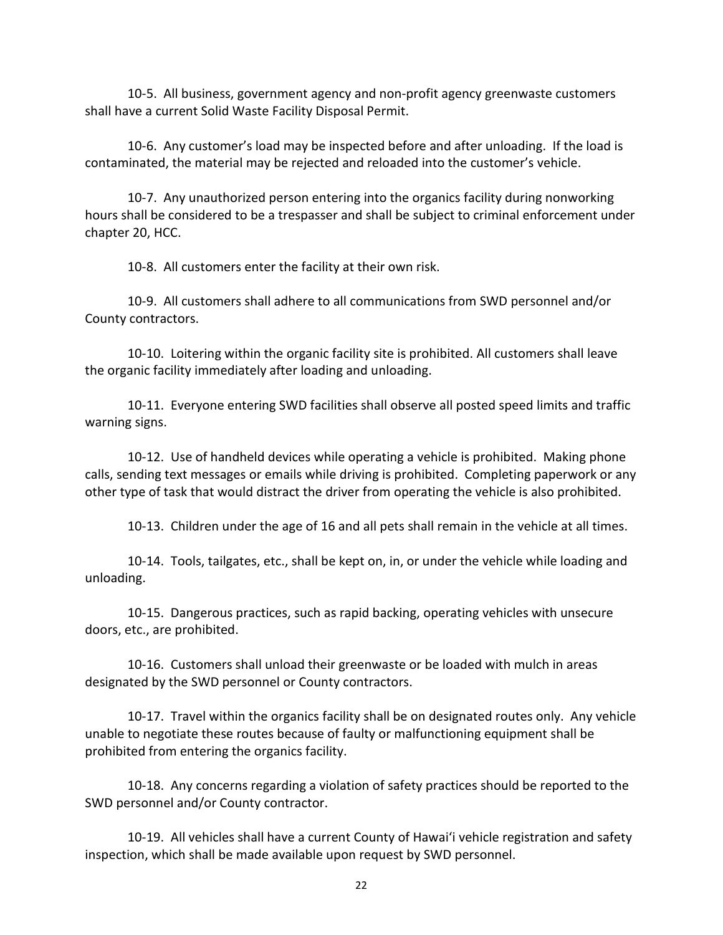10-5. All business, government agency and non-profit agency greenwaste customers shall have a current Solid Waste Facility Disposal Permit.

10-6. Any customer's load may be inspected before and after unloading. If the load is contaminated, the material may be rejected and reloaded into the customer's vehicle.

10-7. Any unauthorized person entering into the organics facility during nonworking hours shall be considered to be a trespasser and shall be subject to criminal enforcement under chapter 20, HCC.

10-8. All customers enter the facility at their own risk.

10-9. All customers shall adhere to all communications from SWD personnel and/or County contractors.

10-10. Loitering within the organic facility site is prohibited. All customers shall leave the organic facility immediately after loading and unloading.

10-11. Everyone entering SWD facilities shall observe all posted speed limits and traffic warning signs.

10-12. Use of handheld devices while operating a vehicle is prohibited. Making phone calls, sending text messages or emails while driving is prohibited. Completing paperwork or any other type of task that would distract the driver from operating the vehicle is also prohibited.

10-13. Children under the age of 16 and all pets shall remain in the vehicle at all times.

10-14. Tools, tailgates, etc., shall be kept on, in, or under the vehicle while loading and unloading.

10-15. Dangerous practices, such as rapid backing, operating vehicles with unsecure doors, etc., are prohibited.

10-16. Customers shall unload their greenwaste or be loaded with mulch in areas designated by the SWD personnel or County contractors.

10-17. Travel within the organics facility shall be on designated routes only. Any vehicle unable to negotiate these routes because of faulty or malfunctioning equipment shall be prohibited from entering the organics facility.

10-18. Any concerns regarding a violation of safety practices should be reported to the SWD personnel and/or County contractor.

10-19. All vehicles shall have a current County of Hawaiʻi vehicle registration and safety inspection, which shall be made available upon request by SWD personnel.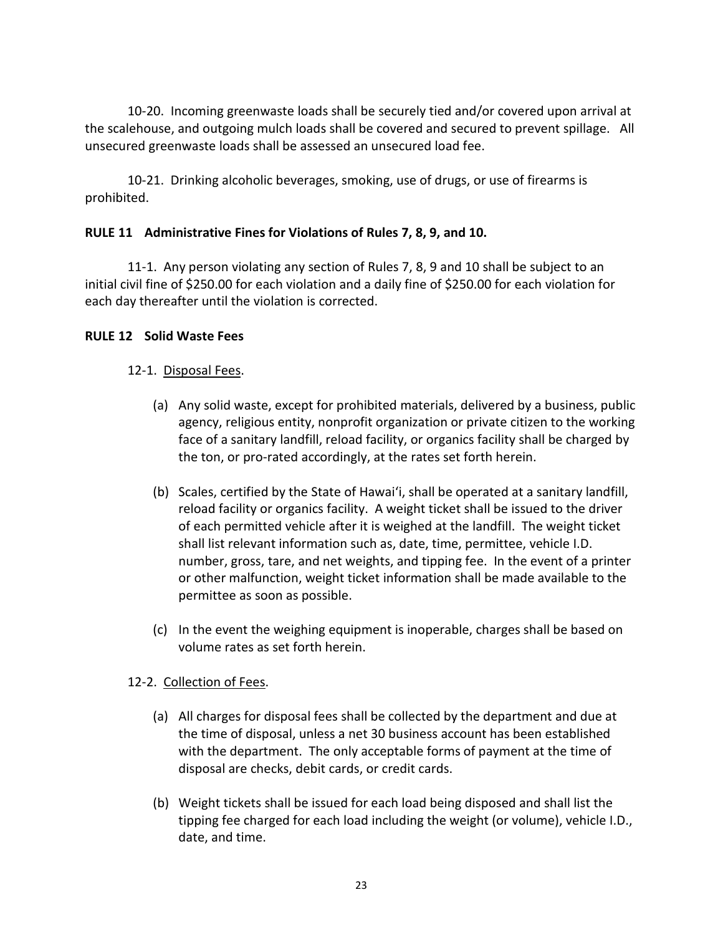10-20. Incoming greenwaste loads shall be securely tied and/or covered upon arrival at the scalehouse, and outgoing mulch loads shall be covered and secured to prevent spillage. All unsecured greenwaste loads shall be assessed an unsecured load fee.

10-21. Drinking alcoholic beverages, smoking, use of drugs, or use of firearms is prohibited.

### **RULE 11 Administrative Fines for Violations of Rules 7, 8, 9, and 10.**

11-1. Any person violating any section of Rules 7, 8, 9 and 10 shall be subject to an initial civil fine of \$250.00 for each violation and a daily fine of \$250.00 for each violation for each day thereafter until the violation is corrected.

### **RULE 12 Solid Waste Fees**

### 12-1. Disposal Fees.

- (a) Any solid waste, except for prohibited materials, delivered by a business, public agency, religious entity, nonprofit organization or private citizen to the working face of a sanitary landfill, reload facility, or organics facility shall be charged by the ton, or pro-rated accordingly, at the rates set forth herein.
- (b) Scales, certified by the State of Hawaiʻi, shall be operated at a sanitary landfill, reload facility or organics facility. A weight ticket shall be issued to the driver of each permitted vehicle after it is weighed at the landfill. The weight ticket shall list relevant information such as, date, time, permittee, vehicle I.D. number, gross, tare, and net weights, and tipping fee. In the event of a printer or other malfunction, weight ticket information shall be made available to the permittee as soon as possible.
- (c) In the event the weighing equipment is inoperable, charges shall be based on volume rates as set forth herein.

# 12-2. Collection of Fees.

- (a) All charges for disposal fees shall be collected by the department and due at the time of disposal, unless a net 30 business account has been established with the department. The only acceptable forms of payment at the time of disposal are checks, debit cards, or credit cards.
- (b) Weight tickets shall be issued for each load being disposed and shall list the tipping fee charged for each load including the weight (or volume), vehicle I.D., date, and time.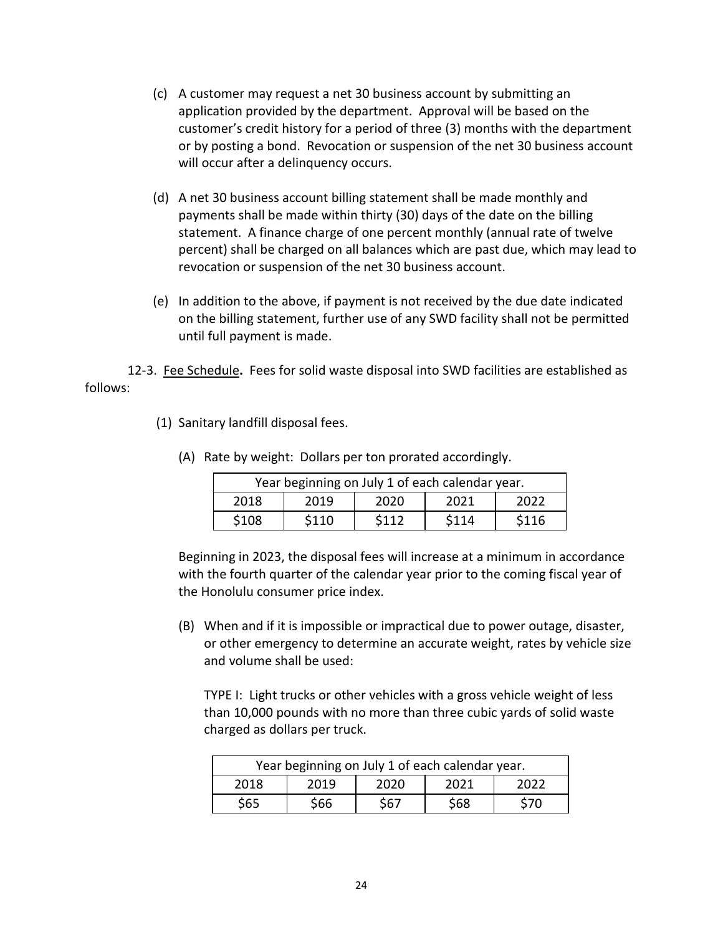- (c) A customer may request a net 30 business account by submitting an application provided by the department. Approval will be based on the customer's credit history for a period of three (3) months with the department or by posting a bond. Revocation or suspension of the net 30 business account will occur after a delinquency occurs.
- (d) A net 30 business account billing statement shall be made monthly and payments shall be made within thirty (30) days of the date on the billing statement. A finance charge of one percent monthly (annual rate of twelve percent) shall be charged on all balances which are past due, which may lead to revocation or suspension of the net 30 business account.
- (e) In addition to the above, if payment is not received by the due date indicated on the billing statement, further use of any SWD facility shall not be permitted until full payment is made.

12-3. Fee Schedule**.** Fees for solid waste disposal into SWD facilities are established as follows:

(1) Sanitary landfill disposal fees.

| Year beginning on July 1 of each calendar year. |       |       |       |       |  |
|-------------------------------------------------|-------|-------|-------|-------|--|
| 2018                                            | 2019  | 2020  | 2021  | 2022  |  |
| \$108                                           | \$110 | \$112 | \$114 | \$116 |  |

(A) Rate by weight: Dollars per ton prorated accordingly.

Beginning in 2023, the disposal fees will increase at a minimum in accordance with the fourth quarter of the calendar year prior to the coming fiscal year of the Honolulu consumer price index.

(B) When and if it is impossible or impractical due to power outage, disaster, or other emergency to determine an accurate weight, rates by vehicle size and volume shall be used:

TYPE I: Light trucks or other vehicles with a gross vehicle weight of less than 10,000 pounds with no more than three cubic yards of solid waste charged as dollars per truck.

| Year beginning on July 1 of each calendar year. |      |     |     |     |  |
|-------------------------------------------------|------|-----|-----|-----|--|
| 2019<br>2018<br>2020<br>2022<br>2021            |      |     |     |     |  |
| S65                                             | \$66 | S67 | S68 | S70 |  |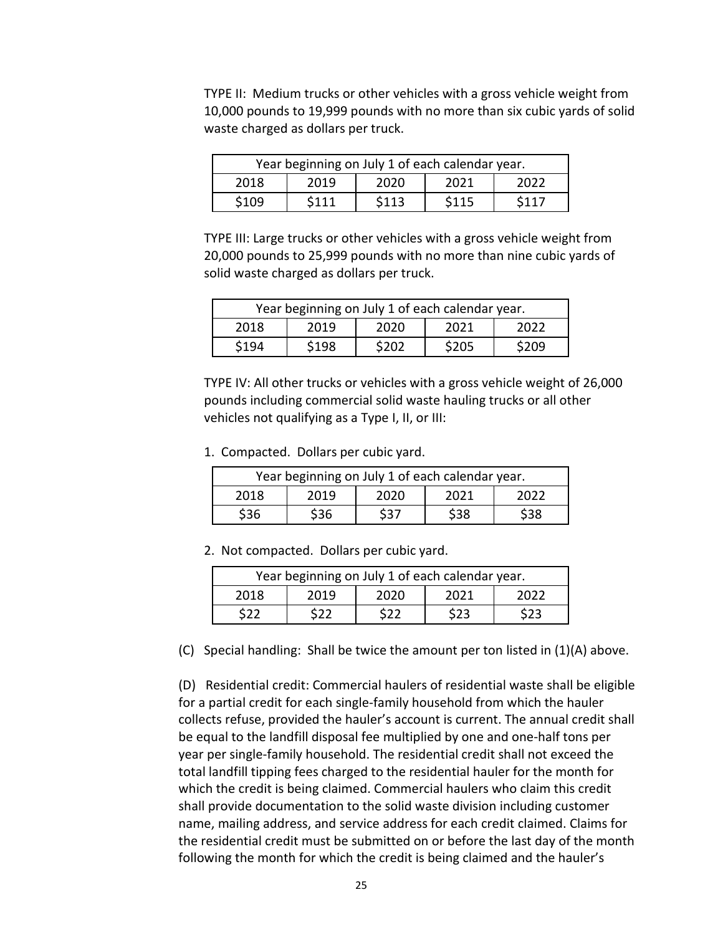TYPE II: Medium trucks or other vehicles with a gross vehicle weight from 10,000 pounds to 19,999 pounds with no more than six cubic yards of solid waste charged as dollars per truck.

| Year beginning on July 1 of each calendar year. |      |       |       |       |
|-------------------------------------------------|------|-------|-------|-------|
| 2019<br>2018<br>2020<br>2021<br>2022            |      |       |       |       |
| \$109                                           | S111 | \$113 | \$115 | \$117 |

TYPE III: Large trucks or other vehicles with a gross vehicle weight from 20,000 pounds to 25,999 pounds with no more than nine cubic yards of solid waste charged as dollars per truck.

| Year beginning on July 1 of each calendar year. |       |       |       |       |  |
|-------------------------------------------------|-------|-------|-------|-------|--|
| 2018                                            | 2019  | 2020  | 2021  | 2022  |  |
| \$194                                           | \$198 | \$202 | \$205 | \$209 |  |

TYPE IV: All other trucks or vehicles with a gross vehicle weight of 26,000 pounds including commercial solid waste hauling trucks or all other vehicles not qualifying as a Type I, II, or III:

1. Compacted. Dollars per cubic yard.

| Year beginning on July 1 of each calendar year. |      |      |     |      |
|-------------------------------------------------|------|------|-----|------|
| 2019<br>2020<br>2018<br>2021<br>2022            |      |      |     |      |
| \$36                                            | \$36 | \$37 | S38 | \$38 |

2. Not compacted. Dollars per cubic yard.

| Year beginning on July 1 of each calendar year. |      |      |       |       |
|-------------------------------------------------|------|------|-------|-------|
| 2018                                            | 2019 | 2020 | 2021  | 2022. |
| S22                                             | くつつ  | S22  | \$23. | 523.  |

(C) Special handling: Shall be twice the amount per ton listed in  $(1)(A)$  above.

(D) Residential credit: Commercial haulers of residential waste shall be eligible for a partial credit for each single-family household from which the hauler collects refuse, provided the hauler's account is current. The annual credit shall be equal to the landfill disposal fee multiplied by one and one-half tons per year per single-family household. The residential credit shall not exceed the total landfill tipping fees charged to the residential hauler for the month for which the credit is being claimed. Commercial haulers who claim this credit shall provide documentation to the solid waste division including customer name, mailing address, and service address for each credit claimed. Claims for the residential credit must be submitted on or before the last day of the month following the month for which the credit is being claimed and the hauler's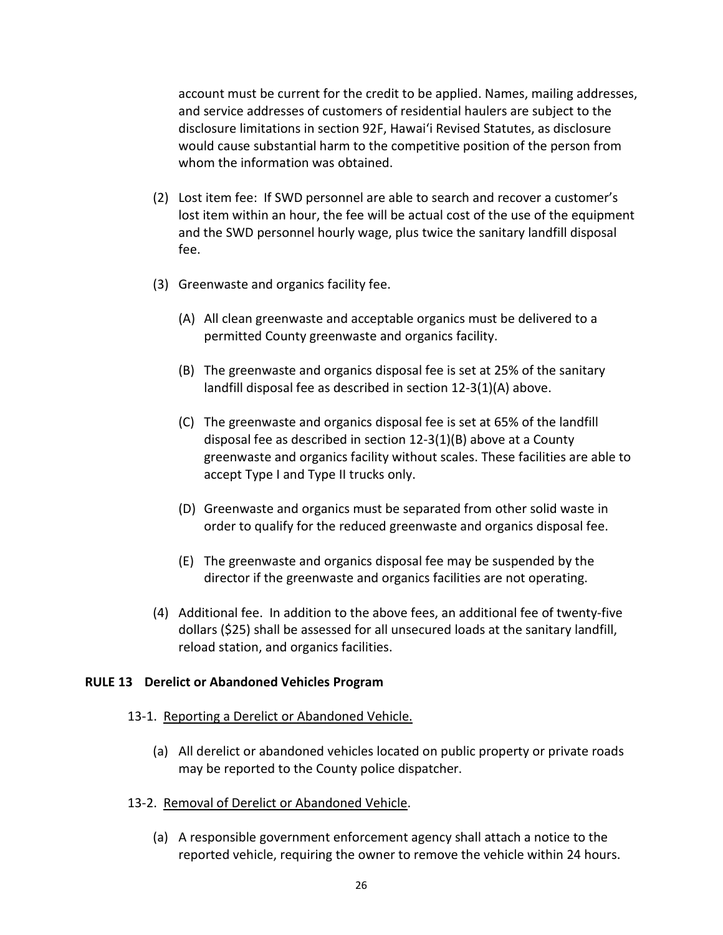account must be current for the credit to be applied. Names, mailing addresses, and service addresses of customers of residential haulers are subject to the disclosure limitations in section 92F, Hawai'i Revised Statutes, as disclosure would cause substantial harm to the competitive position of the person from whom the information was obtained.

- (2) Lost item fee: If SWD personnel are able to search and recover a customer's lost item within an hour, the fee will be actual cost of the use of the equipment and the SWD personnel hourly wage, plus twice the sanitary landfill disposal fee.
- (3) Greenwaste and organics facility fee.
	- (A) All clean greenwaste and acceptable organics must be delivered to a permitted County greenwaste and organics facility.
	- (B) The greenwaste and organics disposal fee is set at 25% of the sanitary landfill disposal fee as described in section 12-3(1)(A) above.
	- (C) The greenwaste and organics disposal fee is set at 65% of the landfill disposal fee as described in section 12-3(1)(B) above at a County greenwaste and organics facility without scales. These facilities are able to accept Type I and Type II trucks only.
	- (D) Greenwaste and organics must be separated from other solid waste in order to qualify for the reduced greenwaste and organics disposal fee.
	- (E) The greenwaste and organics disposal fee may be suspended by the director if the greenwaste and organics facilities are not operating.
- (4) Additional fee. In addition to the above fees, an additional fee of twenty-five dollars (\$25) shall be assessed for all unsecured loads at the sanitary landfill, reload station, and organics facilities.

### **RULE 13 Derelict or Abandoned Vehicles Program**

- 13-1. Reporting a Derelict or Abandoned Vehicle.
	- (a) All derelict or abandoned vehicles located on public property or private roads may be reported to the County police dispatcher.
- 13-2. Removal of Derelict or Abandoned Vehicle.
	- (a) A responsible government enforcement agency shall attach a notice to the reported vehicle, requiring the owner to remove the vehicle within 24 hours.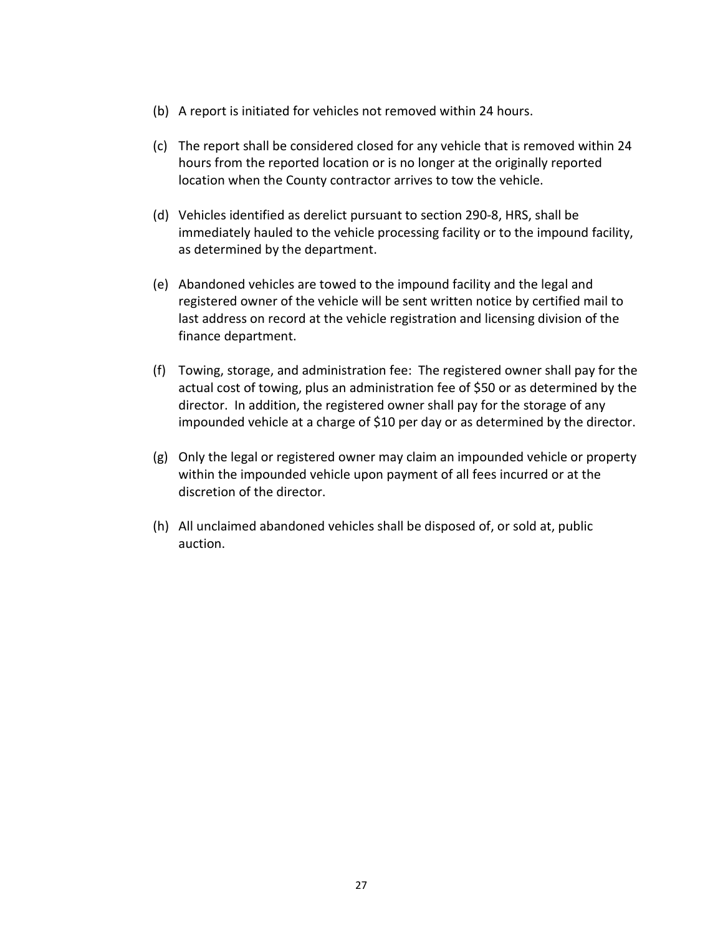- (b) A report is initiated for vehicles not removed within 24 hours.
- (c) The report shall be considered closed for any vehicle that is removed within 24 hours from the reported location or is no longer at the originally reported location when the County contractor arrives to tow the vehicle.
- (d) Vehicles identified as derelict pursuant to section 290-8, HRS, shall be immediately hauled to the vehicle processing facility or to the impound facility, as determined by the department.
- (e) Abandoned vehicles are towed to the impound facility and the legal and registered owner of the vehicle will be sent written notice by certified mail to last address on record at the vehicle registration and licensing division of the finance department.
- (f) Towing, storage, and administration fee: The registered owner shall pay for the actual cost of towing, plus an administration fee of \$50 or as determined by the director. In addition, the registered owner shall pay for the storage of any impounded vehicle at a charge of \$10 per day or as determined by the director.
- (g) Only the legal or registered owner may claim an impounded vehicle or property within the impounded vehicle upon payment of all fees incurred or at the discretion of the director.
- (h) All unclaimed abandoned vehicles shall be disposed of, or sold at, public auction.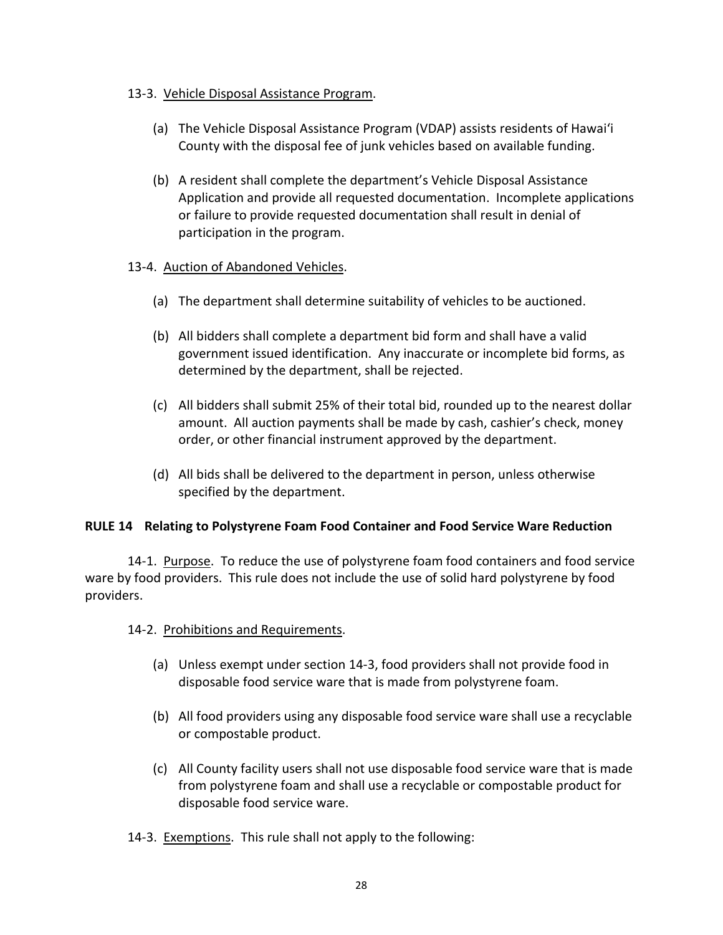### 13-3. Vehicle Disposal Assistance Program.

- (a) The Vehicle Disposal Assistance Program (VDAP) assists residents of Hawaiʻi County with the disposal fee of junk vehicles based on available funding.
- (b) A resident shall complete the department's Vehicle Disposal Assistance Application and provide all requested documentation. Incomplete applications or failure to provide requested documentation shall result in denial of participation in the program.

### 13-4. Auction of Abandoned Vehicles.

- (a) The department shall determine suitability of vehicles to be auctioned.
- (b) All bidders shall complete a department bid form and shall have a valid government issued identification. Any inaccurate or incomplete bid forms, as determined by the department, shall be rejected.
- (c) All bidders shall submit 25% of their total bid, rounded up to the nearest dollar amount. All auction payments shall be made by cash, cashier's check, money order, or other financial instrument approved by the department.
- (d) All bids shall be delivered to the department in person, unless otherwise specified by the department.

# **RULE 14 Relating to Polystyrene Foam Food Container and Food Service Ware Reduction**

14-1. Purpose. To reduce the use of polystyrene foam food containers and food service ware by food providers. This rule does not include the use of solid hard polystyrene by food providers.

# 14-2. Prohibitions and Requirements.

- (a) Unless exempt under section 14-3, food providers shall not provide food in disposable food service ware that is made from polystyrene foam.
- (b) All food providers using any disposable food service ware shall use a recyclable or compostable product.
- (c) All County facility users shall not use disposable food service ware that is made from polystyrene foam and shall use a recyclable or compostable product for disposable food service ware.
- 14-3. Exemptions. This rule shall not apply to the following: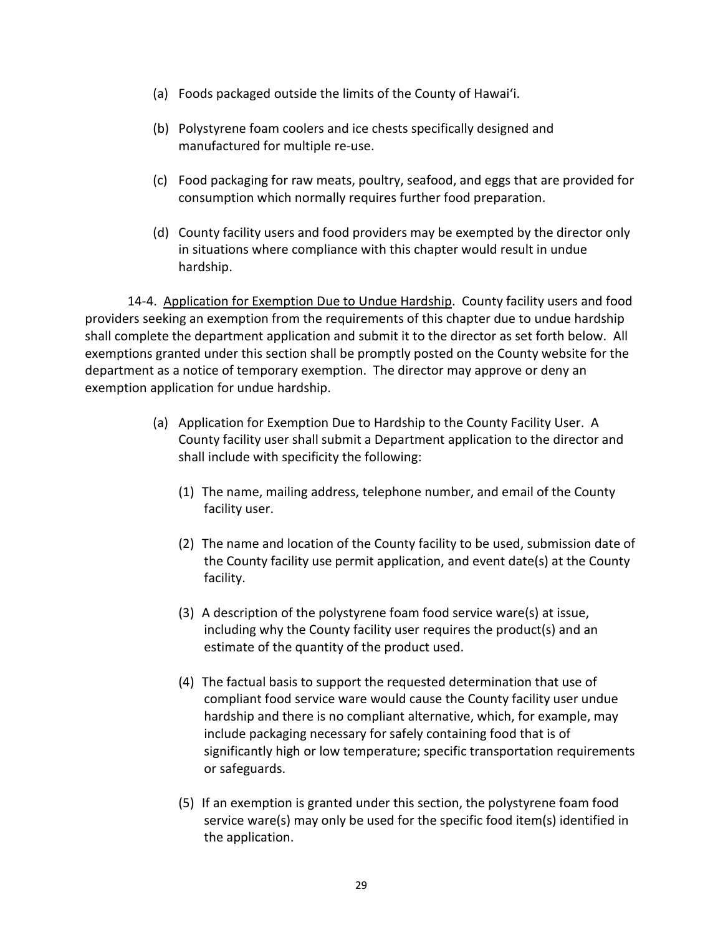- (a) Foods packaged outside the limits of the County of Hawaiʻi.
- (b) Polystyrene foam coolers and ice chests specifically designed and manufactured for multiple re-use.
- (c) Food packaging for raw meats, poultry, seafood, and eggs that are provided for consumption which normally requires further food preparation.
- (d) County facility users and food providers may be exempted by the director only in situations where compliance with this chapter would result in undue hardship.

14-4. Application for Exemption Due to Undue Hardship. County facility users and food providers seeking an exemption from the requirements of this chapter due to undue hardship shall complete the department application and submit it to the director as set forth below. All exemptions granted under this section shall be promptly posted on the County website for the department as a notice of temporary exemption. The director may approve or deny an exemption application for undue hardship.

- (a) Application for Exemption Due to Hardship to the County Facility User. A County facility user shall submit a Department application to the director and shall include with specificity the following:
	- (1) The name, mailing address, telephone number, and email of the County facility user.
	- (2) The name and location of the County facility to be used, submission date of the County facility use permit application, and event date(s) at the County facility.
	- (3) A description of the polystyrene foam food service ware(s) at issue, including why the County facility user requires the product(s) and an estimate of the quantity of the product used.
	- (4) The factual basis to support the requested determination that use of compliant food service ware would cause the County facility user undue hardship and there is no compliant alternative, which, for example, may include packaging necessary for safely containing food that is of significantly high or low temperature; specific transportation requirements or safeguards.
	- (5) If an exemption is granted under this section, the polystyrene foam food service ware(s) may only be used for the specific food item(s) identified in the application.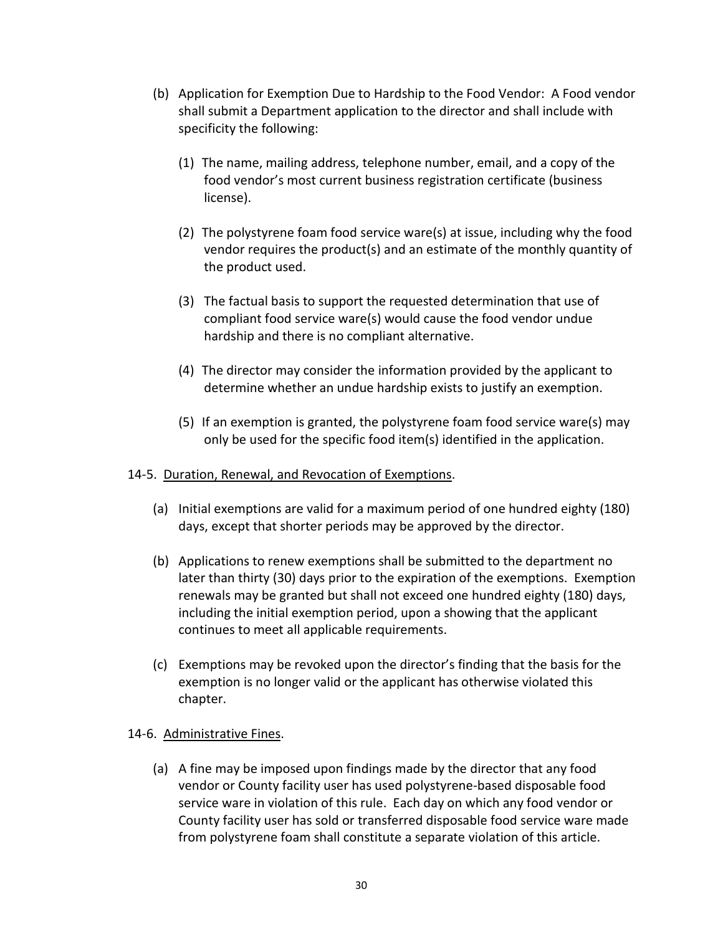- (b) Application for Exemption Due to Hardship to the Food Vendor: A Food vendor shall submit a Department application to the director and shall include with specificity the following:
	- (1) The name, mailing address, telephone number, email, and a copy of the food vendor's most current business registration certificate (business license).
	- (2) The polystyrene foam food service ware(s) at issue, including why the food vendor requires the product(s) and an estimate of the monthly quantity of the product used.
	- (3) The factual basis to support the requested determination that use of compliant food service ware(s) would cause the food vendor undue hardship and there is no compliant alternative.
	- (4) The director may consider the information provided by the applicant to determine whether an undue hardship exists to justify an exemption.
	- (5) If an exemption is granted, the polystyrene foam food service ware(s) may only be used for the specific food item(s) identified in the application.

# 14-5. Duration, Renewal, and Revocation of Exemptions.

- (a) Initial exemptions are valid for a maximum period of one hundred eighty (180) days, except that shorter periods may be approved by the director.
- (b) Applications to renew exemptions shall be submitted to the department no later than thirty (30) days prior to the expiration of the exemptions. Exemption renewals may be granted but shall not exceed one hundred eighty (180) days, including the initial exemption period, upon a showing that the applicant continues to meet all applicable requirements.
- (c) Exemptions may be revoked upon the director's finding that the basis for the exemption is no longer valid or the applicant has otherwise violated this chapter.

### 14-6. Administrative Fines.

(a) A fine may be imposed upon findings made by the director that any food vendor or County facility user has used polystyrene-based disposable food service ware in violation of this rule. Each day on which any food vendor or County facility user has sold or transferred disposable food service ware made from polystyrene foam shall constitute a separate violation of this article.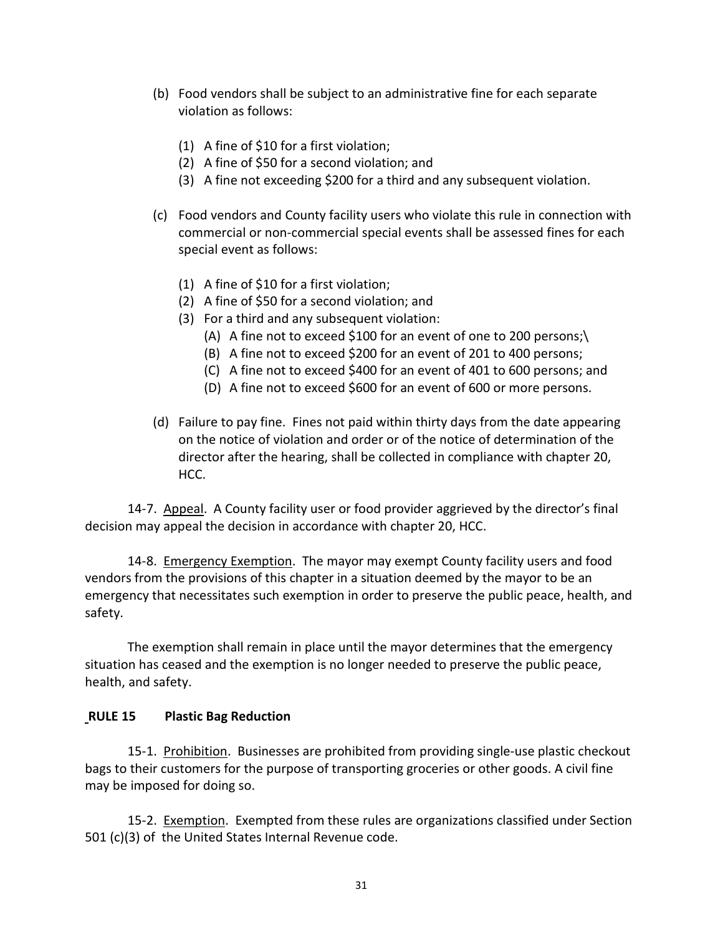- (b) Food vendors shall be subject to an administrative fine for each separate violation as follows:
	- (1) A fine of \$10 for a first violation;
	- (2) A fine of \$50 for a second violation; and
	- (3) A fine not exceeding \$200 for a third and any subsequent violation.
- (c) Food vendors and County facility users who violate this rule in connection with commercial or non-commercial special events shall be assessed fines for each special event as follows:
	- (1) A fine of \$10 for a first violation;
	- (2) A fine of \$50 for a second violation; and
	- (3) For a third and any subsequent violation:
		- (A) A fine not to exceed \$100 for an event of one to 200 persons;
		- (B) A fine not to exceed \$200 for an event of 201 to 400 persons;
		- (C) A fine not to exceed \$400 for an event of 401 to 600 persons; and
		- (D) A fine not to exceed \$600 for an event of 600 or more persons.
- (d) Failure to pay fine. Fines not paid within thirty days from the date appearing on the notice of violation and order or of the notice of determination of the director after the hearing, shall be collected in compliance with chapter 20, HCC.

14-7. Appeal. A County facility user or food provider aggrieved by the director's final decision may appeal the decision in accordance with chapter 20, HCC.

14-8. Emergency Exemption. The mayor may exempt County facility users and food vendors from the provisions of this chapter in a situation deemed by the mayor to be an emergency that necessitates such exemption in order to preserve the public peace, health, and safety.

The exemption shall remain in place until the mayor determines that the emergency situation has ceased and the exemption is no longer needed to preserve the public peace, health, and safety.

### **RULE 15 Plastic Bag Reduction**

15-1. Prohibition. Businesses are prohibited from providing single-use plastic checkout bags to their customers for the purpose of transporting groceries or other goods. A civil fine may be imposed for doing so.

15-2. Exemption. Exempted from these rules are organizations classified under Section 501 (c)(3) of the United States Internal Revenue code.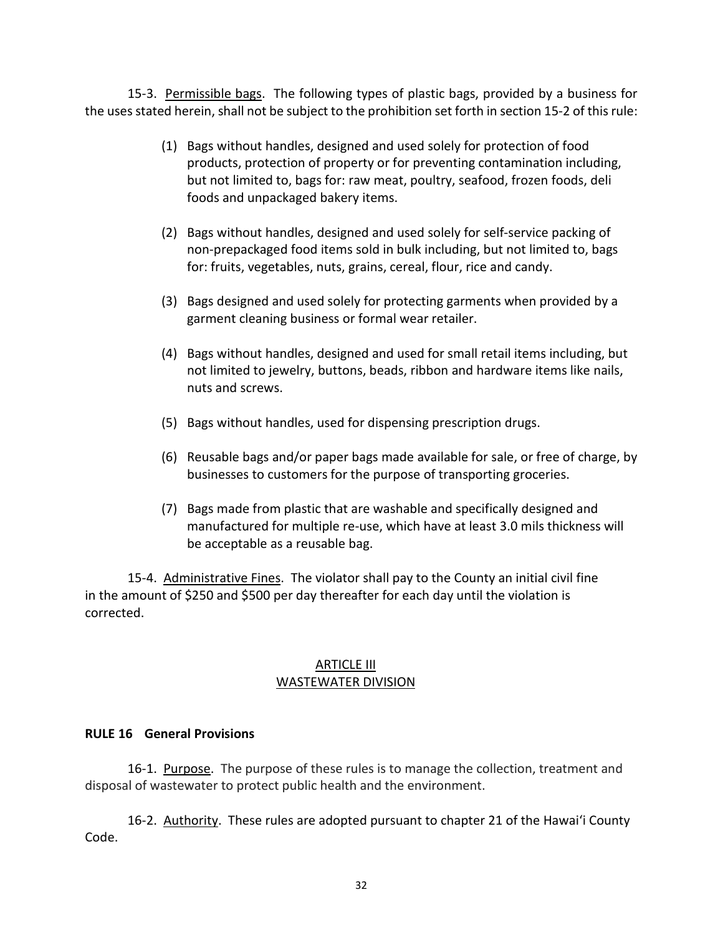15-3. Permissible bags. The following types of plastic bags, provided by a business for the uses stated herein, shall not be subject to the prohibition set forth in section 15-2 of this rule:

- (1) Bags without handles, designed and used solely for protection of food products, protection of property or for preventing contamination including, but not limited to, bags for: raw meat, poultry, seafood, frozen foods, deli foods and unpackaged bakery items.
- (2) Bags without handles, designed and used solely for self-service packing of non-prepackaged food items sold in bulk including, but not limited to, bags for: fruits, vegetables, nuts, grains, cereal, flour, rice and candy.
- (3) Bags designed and used solely for protecting garments when provided by a garment cleaning business or formal wear retailer.
- (4) Bags without handles, designed and used for small retail items including, but not limited to jewelry, buttons, beads, ribbon and hardware items like nails, nuts and screws.
- (5) Bags without handles, used for dispensing prescription drugs.
- (6) Reusable bags and/or paper bags made available for sale, or free of charge, by businesses to customers for the purpose of transporting groceries.
- (7) Bags made from plastic that are washable and specifically designed and manufactured for multiple re-use, which have at least 3.0 mils thickness will be acceptable as a reusable bag.

15-4. Administrative Fines. The violator shall pay to the County an initial civil fine in the amount of \$250 and \$500 per day thereafter for each day until the violation is corrected.

### ARTICLE III WASTEWATER DIVISION

### **RULE 16 General Provisions**

16-1. Purpose. The purpose of these rules is to manage the collection, treatment and disposal of wastewater to protect public health and the environment.

16-2. Authority. These rules are adopted pursuant to chapter 21 of the Hawaiʻi County Code.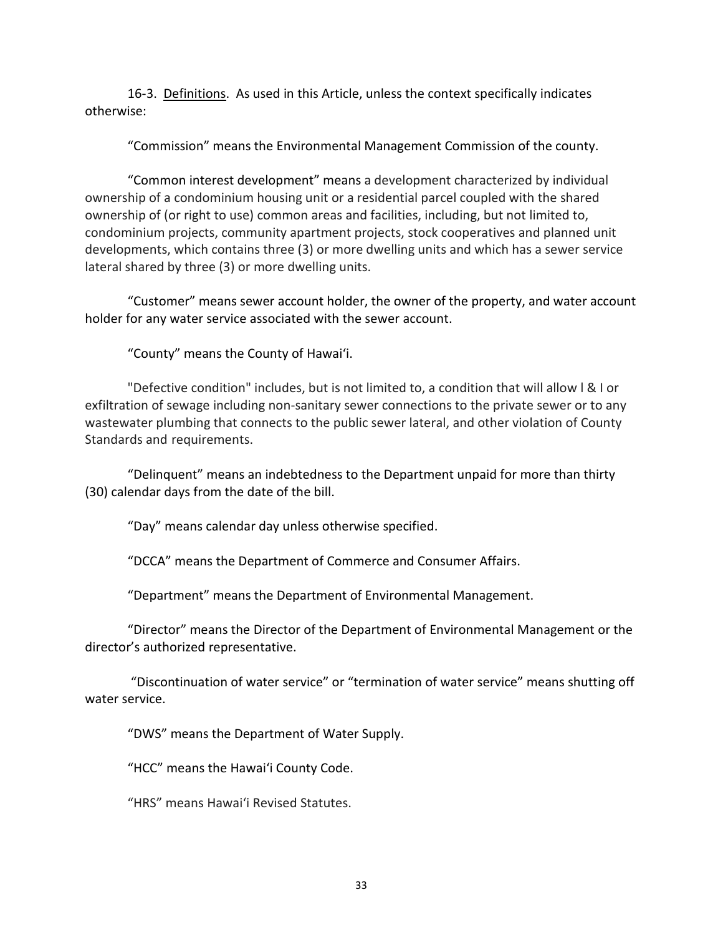16-3. Definitions. As used in this Article, unless the context specifically indicates otherwise:

"Commission" means the Environmental Management Commission of the county.

"Common interest development" means a development characterized by individual ownership of a condominium housing unit or a residential parcel coupled with the shared ownership of (or right to use) common areas and facilities, including, but not limited to, condominium projects, community apartment projects, stock cooperatives and planned unit developments, which contains three (3) or more dwelling units and which has a sewer service lateral shared by three (3) or more dwelling units.

"Customer" means sewer account holder, the owner of the property, and water account holder for any water service associated with the sewer account.

"County" means the County of Hawaiʻi.

"Defective condition" includes, but is not limited to, a condition that will allow l & I or exfiltration of sewage including non-sanitary sewer connections to the private sewer or to any wastewater plumbing that connects to the public sewer lateral, and other violation of County Standards and requirements.

"Delinquent" means an indebtedness to the Department unpaid for more than thirty (30) calendar days from the date of the bill.

"Day" means calendar day unless otherwise specified.

"DCCA" means the Department of Commerce and Consumer Affairs.

"Department" means the Department of Environmental Management.

"Director" means the Director of the Department of Environmental Management or the director's authorized representative.

"Discontinuation of water service" or "termination of water service" means shutting off water service.

"DWS" means the Department of Water Supply.

"HCC" means the Hawaiʻi County Code.

"HRS" means Hawaiʻi Revised Statutes.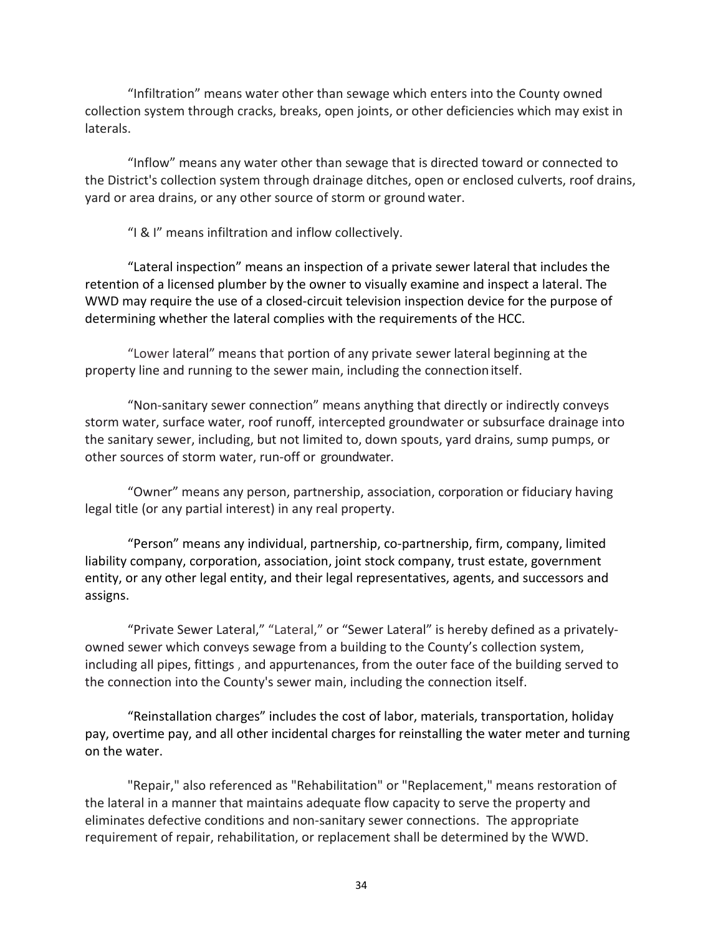"Infiltration" means water other than sewage which enters into the County owned collection system through cracks, breaks, open joints, or other deficiencies which may exist in laterals.

"Inflow" means any water other than sewage that is directed toward or connected to the District's collection system through drainage ditches, open or enclosed culverts, roof drains, yard or area drains, or any other source of storm or ground water.

"I & I" means infiltration and inflow collectively.

"Lateral inspection" means an inspection of a private sewer lateral that includes the retention of a licensed plumber by the owner to visually examine and inspect a lateral. The WWD may require the use of a closed-circuit television inspection device for the purpose of determining whether the lateral complies with the requirements of the HCC.

"Lower lateral" means that portion of any private sewer lateral beginning at the property line and running to the sewer main, including the connectionitself.

"Non-sanitary sewer connection" means anything that directly or indirectly conveys storm water, surface water, roof runoff, intercepted groundwater or subsurface drainage into the sanitary sewer, including, but not limited to, down spouts, yard drains, sump pumps, or other sources of storm water, run-off or groundwater.

"Owner" means any person, partnership, association, corporation or fiduciary having legal title (or any partial interest) in any real property.

"Person" means any individual, partnership, co-partnership, firm, company, limited liability company, corporation, association, joint stock company, trust estate, government entity, or any other legal entity, and their legal representatives, agents, and successors and assigns.

"Private Sewer Lateral," "Lateral," or "Sewer Lateral" is hereby defined as a privatelyowned sewer which conveys sewage from a building to the County's collection system, including all pipes, fittings , and appurtenances, from the outer face of the building served to the connection into the County's sewer main, including the connection itself.

"Reinstallation charges" includes the cost of labor, materials, transportation, holiday pay, overtime pay, and all other incidental charges for reinstalling the water meter and turning on the water.

"Repair," also referenced as "Rehabilitation" or "Replacement," means restoration of the lateral in a manner that maintains adequate flow capacity to serve the property and eliminates defective conditions and non-sanitary sewer connections. The appropriate requirement of repair, rehabilitation, or replacement shall be determined by the WWD.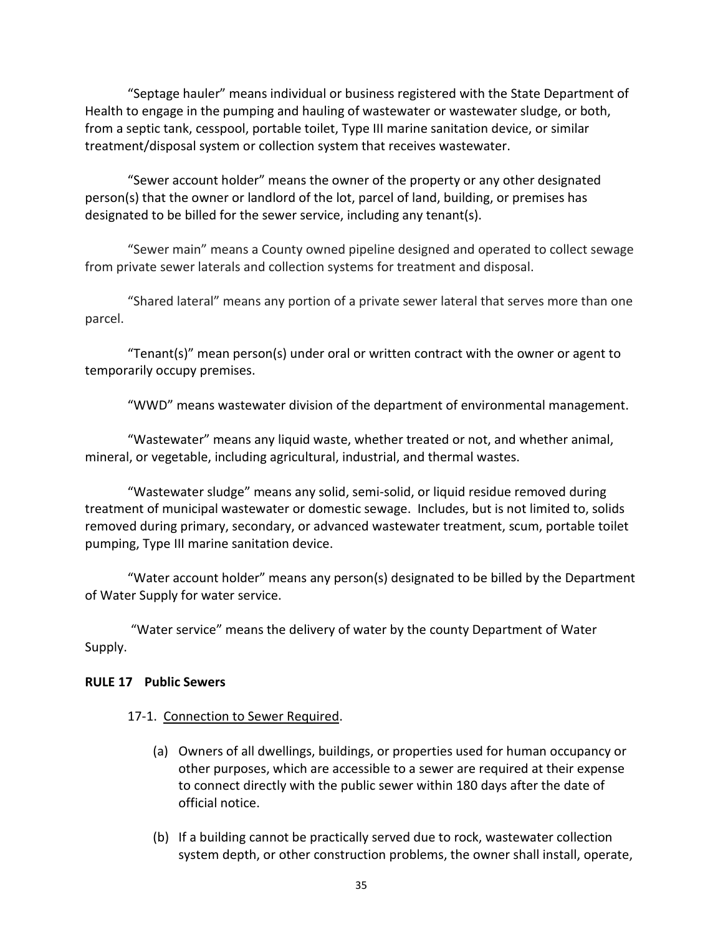"Septage hauler" means individual or business registered with the State Department of Health to engage in the pumping and hauling of wastewater or wastewater sludge, or both, from a septic tank, cesspool, portable toilet, Type III marine sanitation device, or similar treatment/disposal system or collection system that receives wastewater.

"Sewer account holder" means the owner of the property or any other designated person(s) that the owner or landlord of the lot, parcel of land, building, or premises has designated to be billed for the sewer service, including any tenant(s).

"Sewer main" means a County owned pipeline designed and operated to collect sewage from private sewer laterals and collection systems for treatment and disposal.

"Shared lateral" means any portion of a private sewer lateral that serves more than one parcel.

"Tenant(s)" mean person(s) under oral or written contract with the owner or agent to temporarily occupy premises.

"WWD" means wastewater division of the department of environmental management.

"Wastewater" means any liquid waste, whether treated or not, and whether animal, mineral, or vegetable, including agricultural, industrial, and thermal wastes.

"Wastewater sludge" means any solid, semi-solid, or liquid residue removed during treatment of municipal wastewater or domestic sewage. Includes, but is not limited to, solids removed during primary, secondary, or advanced wastewater treatment, scum, portable toilet pumping, Type III marine sanitation device.

"Water account holder" means any person(s) designated to be billed by the Department of Water Supply for water service.

"Water service" means the delivery of water by the county Department of Water Supply.

### **RULE 17 Public Sewers**

### 17-1. Connection to Sewer Required.

- (a) Owners of all dwellings, buildings, or properties used for human occupancy or other purposes, which are accessible to a sewer are required at their expense to connect directly with the public sewer within 180 days after the date of official notice.
- (b) If a building cannot be practically served due to rock, wastewater collection system depth, or other construction problems, the owner shall install, operate,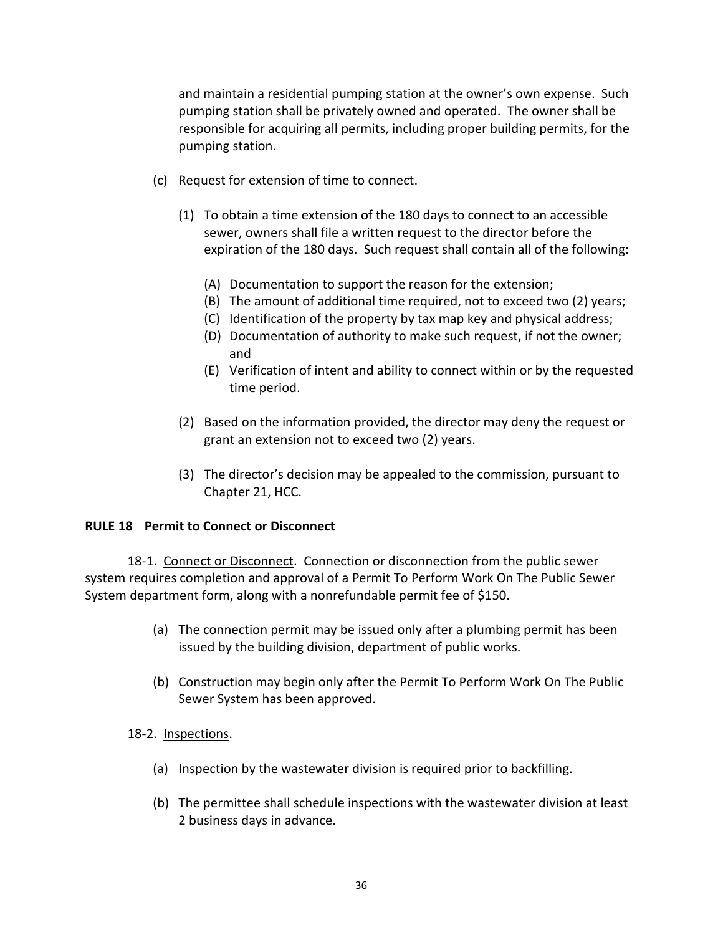and maintain a residential pumping station at the owner's own expense. Such pumping station shall be privately owned and operated. The owner shall be responsible for acquiring all permits, including proper building permits, for the pumping station.

- (c) Request for extension of time to connect.
	- (1) To obtain a time extension of the 180 days to connect to an accessible sewer, owners shall file a written request to the director before the expiration of the 180 days. Such request shall contain all of the following:
		- (A) Documentation to support the reason for the extension;
		- (B) The amount of additional time required, not to exceed two (2) years;
		- (C) Identification of the property by tax map key and physical address;
		- (D) Documentation of authority to make such request, if not the owner; and
		- (E) Verification of intent and ability to connect within or by the requested time period.
	- (2) Based on the information provided, the director may deny the request or grant an extension not to exceed two (2) years.
	- (3) The director's decision may be appealed to the commission, pursuant to Chapter 21, HCC.

### **RULE 18 Permit to Connect or Disconnect**

18-1. Connect or Disconnect. Connection or disconnection from the public sewer system requires completion and approval of a Permit To Perform Work On The Public Sewer System department form, along with a nonrefundable permit fee of \$150.

- (a) The connection permit may be issued only after a plumbing permit has been issued by the building division, department of public works.
- (b) Construction may begin only after the Permit To Perform Work On The Public Sewer System has been approved.

### 18-2. Inspections.

- (a) Inspection by the wastewater division is required prior to backfilling.
- (b) The permittee shall schedule inspections with the wastewater division at least 2 business days in advance.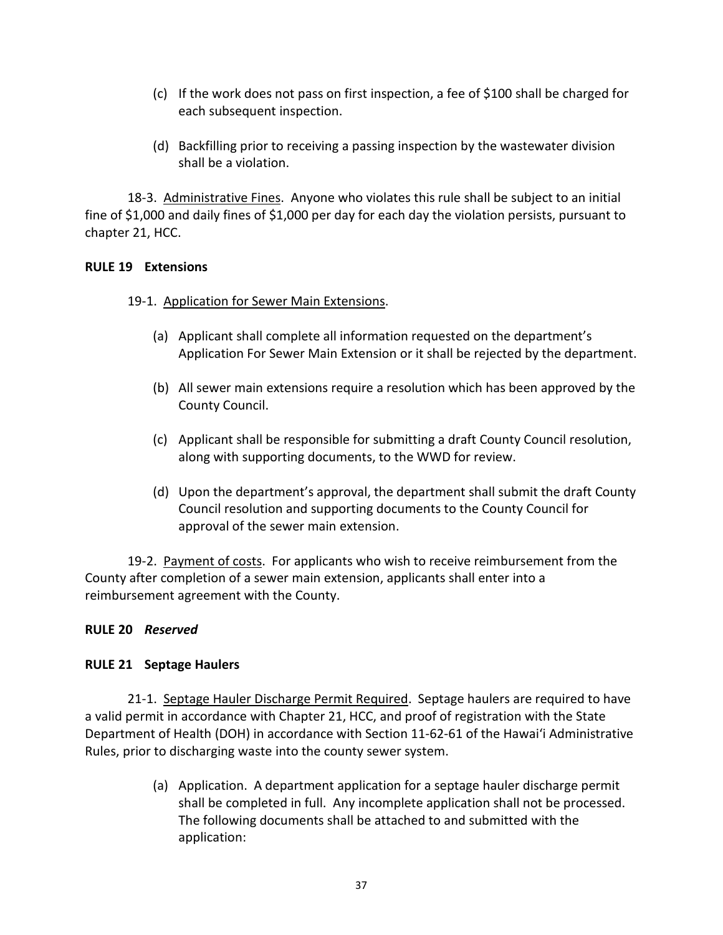- (c) If the work does not pass on first inspection, a fee of \$100 shall be charged for each subsequent inspection.
- (d) Backfilling prior to receiving a passing inspection by the wastewater division shall be a violation.

18-3. Administrative Fines. Anyone who violates this rule shall be subject to an initial fine of \$1,000 and daily fines of \$1,000 per day for each day the violation persists, pursuant to chapter 21, HCC.

### **RULE 19 Extensions**

### 19-1. Application for Sewer Main Extensions.

- (a) Applicant shall complete all information requested on the department's Application For Sewer Main Extension or it shall be rejected by the department.
- (b) All sewer main extensions require a resolution which has been approved by the County Council.
- (c) Applicant shall be responsible for submitting a draft County Council resolution, along with supporting documents, to the WWD for review.
- (d) Upon the department's approval, the department shall submit the draft County Council resolution and supporting documents to the County Council for approval of the sewer main extension.

19-2. Payment of costs. For applicants who wish to receive reimbursement from the County after completion of a sewer main extension, applicants shall enter into a reimbursement agreement with the County.

# **RULE 20** *Reserved*

# **RULE 21 Septage Haulers**

21-1. Septage Hauler Discharge Permit Required. Septage haulers are required to have a valid permit in accordance with Chapter 21, HCC, and proof of registration with the State Department of Health (DOH) in accordance with Section 11-62-61 of the Hawaiʻi Administrative Rules, prior to discharging waste into the county sewer system.

> (a) Application. A department application for a septage hauler discharge permit shall be completed in full. Any incomplete application shall not be processed. The following documents shall be attached to and submitted with the application: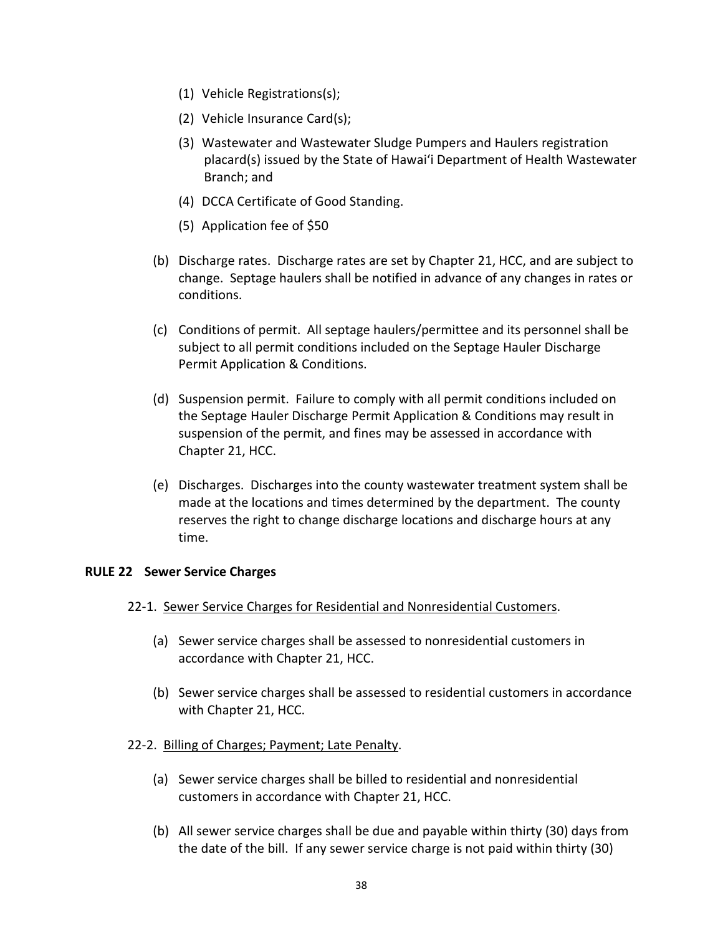- (1) Vehicle Registrations(s);
- (2) Vehicle Insurance Card(s);
- (3) Wastewater and Wastewater Sludge Pumpers and Haulers registration placard(s) issued by the State of Hawaiʻi Department of Health Wastewater Branch; and
- (4) DCCA Certificate of Good Standing.
- (5) Application fee of \$50
- (b) Discharge rates. Discharge rates are set by Chapter 21, HCC, and are subject to change. Septage haulers shall be notified in advance of any changes in rates or conditions.
- (c) Conditions of permit. All septage haulers/permittee and its personnel shall be subject to all permit conditions included on the Septage Hauler Discharge Permit Application & Conditions.
- (d) Suspension permit. Failure to comply with all permit conditions included on the Septage Hauler Discharge Permit Application & Conditions may result in suspension of the permit, and fines may be assessed in accordance with Chapter 21, HCC.
- (e) Discharges. Discharges into the county wastewater treatment system shall be made at the locations and times determined by the department. The county reserves the right to change discharge locations and discharge hours at any time.

### **RULE 22 Sewer Service Charges**

- 22-1. Sewer Service Charges for Residential and Nonresidential Customers.
	- (a) Sewer service charges shall be assessed to nonresidential customers in accordance with Chapter 21, HCC.
	- (b) Sewer service charges shall be assessed to residential customers in accordance with Chapter 21, HCC.
- 22-2. Billing of Charges; Payment; Late Penalty.
	- (a) Sewer service charges shall be billed to residential and nonresidential customers in accordance with Chapter 21, HCC.
	- (b) All sewer service charges shall be due and payable within thirty (30) days from the date of the bill. If any sewer service charge is not paid within thirty (30)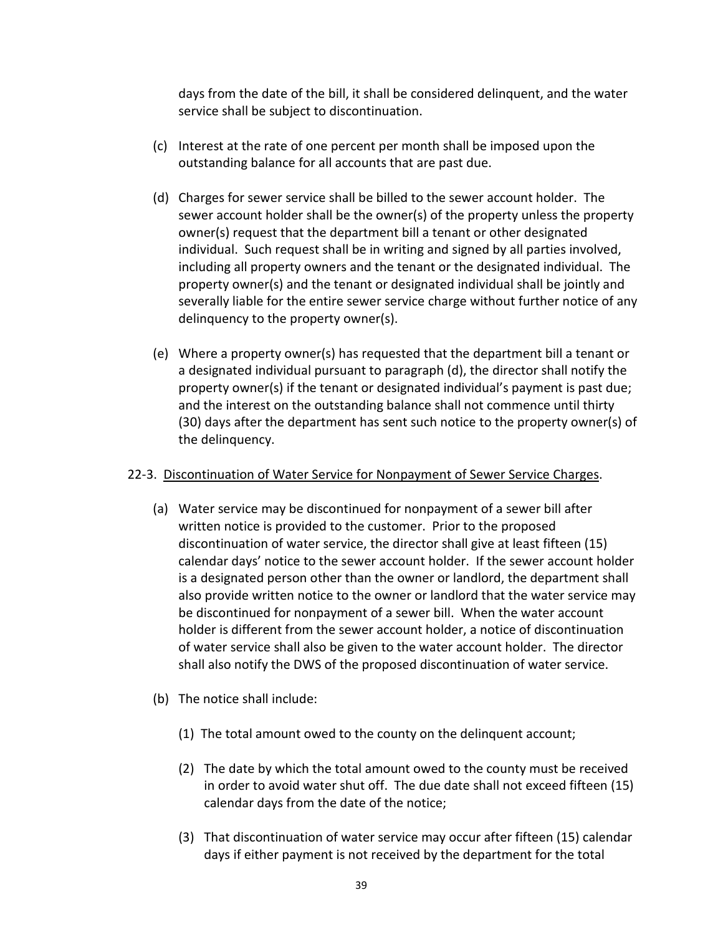days from the date of the bill, it shall be considered delinquent, and the water service shall be subject to discontinuation.

- (c) Interest at the rate of one percent per month shall be imposed upon the outstanding balance for all accounts that are past due.
- (d) Charges for sewer service shall be billed to the sewer account holder. The sewer account holder shall be the owner(s) of the property unless the property owner(s) request that the department bill a tenant or other designated individual. Such request shall be in writing and signed by all parties involved, including all property owners and the tenant or the designated individual. The property owner(s) and the tenant or designated individual shall be jointly and severally liable for the entire sewer service charge without further notice of any delinquency to the property owner(s).
- (e) Where a property owner(s) has requested that the department bill a tenant or a designated individual pursuant to paragraph (d), the director shall notify the property owner(s) if the tenant or designated individual's payment is past due; and the interest on the outstanding balance shall not commence until thirty (30) days after the department has sent such notice to the property owner(s) of the delinquency.

## 22-3. Discontinuation of Water Service for Nonpayment of Sewer Service Charges.

- (a) Water service may be discontinued for nonpayment of a sewer bill after written notice is provided to the customer. Prior to the proposed discontinuation of water service, the director shall give at least fifteen (15) calendar days' notice to the sewer account holder. If the sewer account holder is a designated person other than the owner or landlord, the department shall also provide written notice to the owner or landlord that the water service may be discontinued for nonpayment of a sewer bill. When the water account holder is different from the sewer account holder, a notice of discontinuation of water service shall also be given to the water account holder. The director shall also notify the DWS of the proposed discontinuation of water service.
- (b) The notice shall include:
	- (1) The total amount owed to the county on the delinquent account;
	- (2) The date by which the total amount owed to the county must be received in order to avoid water shut off. The due date shall not exceed fifteen (15) calendar days from the date of the notice;
	- (3) That discontinuation of water service may occur after fifteen (15) calendar days if either payment is not received by the department for the total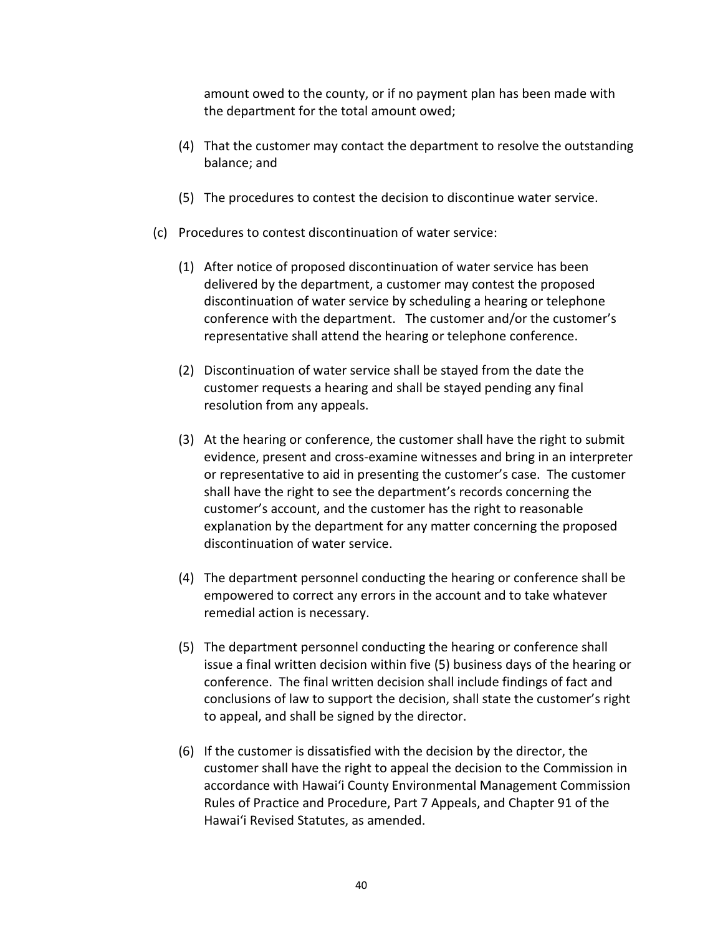amount owed to the county, or if no payment plan has been made with the department for the total amount owed;

- (4) That the customer may contact the department to resolve the outstanding balance; and
- (5) The procedures to contest the decision to discontinue water service.
- (c) Procedures to contest discontinuation of water service:
	- (1) After notice of proposed discontinuation of water service has been delivered by the department, a customer may contest the proposed discontinuation of water service by scheduling a hearing or telephone conference with the department. The customer and/or the customer's representative shall attend the hearing or telephone conference.
	- (2) Discontinuation of water service shall be stayed from the date the customer requests a hearing and shall be stayed pending any final resolution from any appeals.
	- (3) At the hearing or conference, the customer shall have the right to submit evidence, present and cross-examine witnesses and bring in an interpreter or representative to aid in presenting the customer's case. The customer shall have the right to see the department's records concerning the customer's account, and the customer has the right to reasonable explanation by the department for any matter concerning the proposed discontinuation of water service.
	- (4) The department personnel conducting the hearing or conference shall be empowered to correct any errors in the account and to take whatever remedial action is necessary.
	- (5) The department personnel conducting the hearing or conference shall issue a final written decision within five (5) business days of the hearing or conference. The final written decision shall include findings of fact and conclusions of law to support the decision, shall state the customer's right to appeal, and shall be signed by the director.
	- (6) If the customer is dissatisfied with the decision by the director, the customer shall have the right to appeal the decision to the Commission in accordance with Hawaiʻi County Environmental Management Commission Rules of Practice and Procedure, Part 7 Appeals, and Chapter 91 of the Hawaiʻi Revised Statutes, as amended.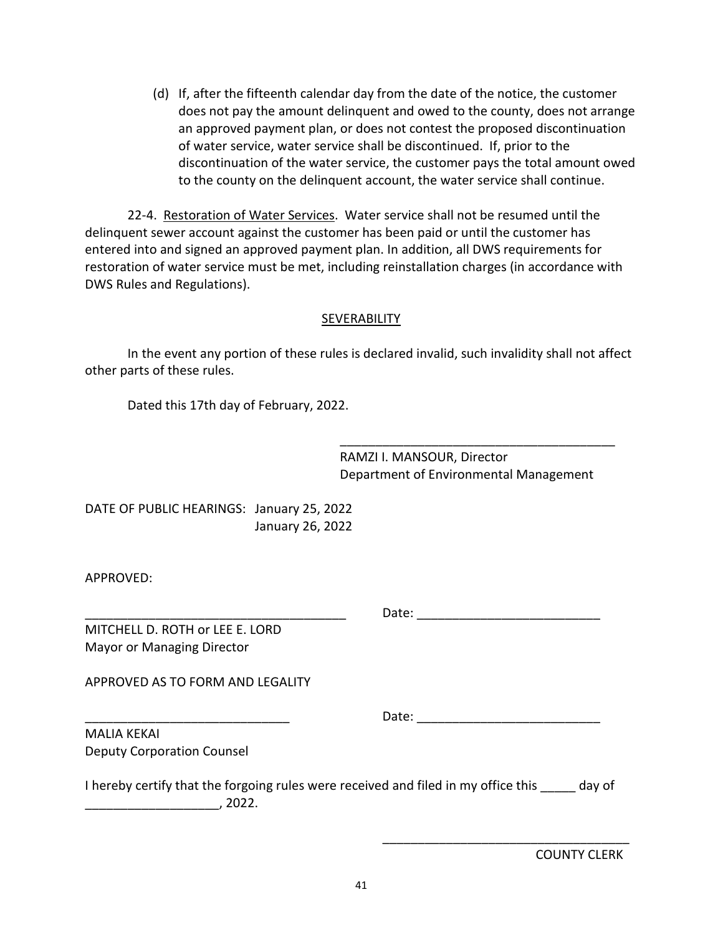(d) If, after the fifteenth calendar day from the date of the notice, the customer does not pay the amount delinquent and owed to the county, does not arrange an approved payment plan, or does not contest the proposed discontinuation of water service, water service shall be discontinued. If, prior to the discontinuation of the water service, the customer pays the total amount owed to the county on the delinquent account, the water service shall continue.

22-4. Restoration of Water Services. Water service shall not be resumed until the delinquent sewer account against the customer has been paid or until the customer has entered into and signed an approved payment plan. In addition, all DWS requirements for restoration of water service must be met, including reinstallation charges (in accordance with DWS Rules and Regulations).

### **SEVERABILITY**

In the event any portion of these rules is declared invalid, such invalidity shall not affect other parts of these rules.

Dated this 17th day of February, 2022.

RAMZI I. MANSOUR, Director Department of Environmental Management

\_\_\_\_\_\_\_\_\_\_\_\_\_\_\_\_\_\_\_\_\_\_\_\_\_\_\_\_\_\_\_\_\_\_\_\_\_\_\_

DATE OF PUBLIC HEARINGS: January 25, 2022 January 26, 2022

APPROVED:

\_\_\_\_\_\_\_\_\_\_\_\_\_\_\_\_\_\_\_\_\_\_\_\_\_\_\_\_\_\_\_\_\_\_\_\_\_ Date: \_\_\_\_\_\_\_\_\_\_\_\_\_\_\_\_\_\_\_\_\_\_\_\_\_\_

MITCHELL D. ROTH or LEE E. LORD Mayor or Managing Director

APPROVED AS TO FORM AND LEGALITY

\_\_\_\_\_\_\_\_\_\_\_\_\_\_\_\_\_\_\_\_\_\_\_\_\_\_\_\_\_ Date: \_\_\_\_\_\_\_\_\_\_\_\_\_\_\_\_\_\_\_\_\_\_\_\_\_\_

\_\_\_\_\_\_\_\_\_\_\_\_\_\_\_\_\_\_\_\_\_\_\_\_\_\_\_\_\_\_\_\_\_\_\_

MALIA KEKAI Deputy Corporation Counsel

I hereby certify that the forgoing rules were received and filed in my office this day of  $\sim$  , 2022.

COUNTY CLERK